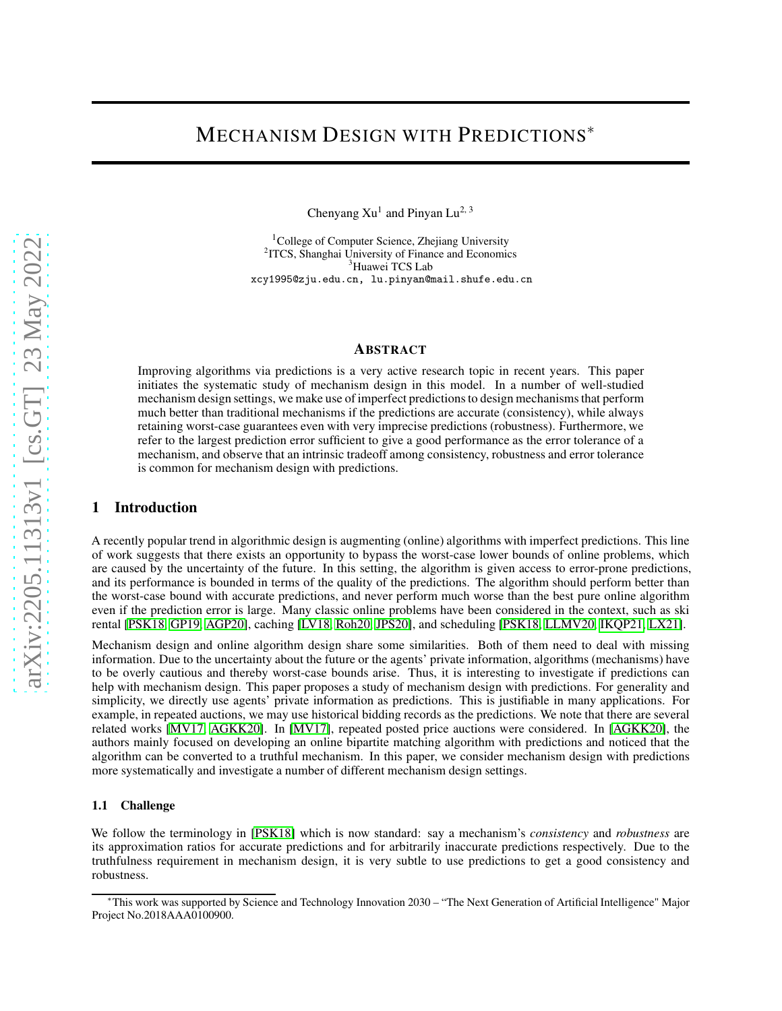# MECHANISM DESIGN WITH PREDICTIONS<sup>∗</sup>

Chenyang  $Xu^1$  and Pinyan Lu<sup>2, 3</sup>

<sup>1</sup>College of Computer Science, Zhejiang University 2 ITCS, Shanghai University of Finance and Economics <sup>3</sup>Huawei TCS Lab xcy1995@zju.edu.cn, lu.pinyan@mail.shufe.edu.cn

#### ABSTRACT

Improving algorithms via predictions is a very active research topic in recent years. This paper initiates the systematic study of mechanism design in this model. In a number of well-studied mechanism design settings, we make use of imperfect predictions to design mechanisms that perform much better than traditional mechanisms if the predictions are accurate (consistency), while always retaining worst-case guarantees even with very imprecise predictions (robustness). Furthermore, we refer to the largest prediction error sufficient to give a good performance as the error tolerance of a mechanism, and observe that an intrinsic tradeoff among consistency, robustness and error tolerance is common for mechanism design with predictions.

# 1 Introduction

A recently popular trend in algorithmic design is augmenting (online) algorithms with imperfect predictions. This line of work suggests that there exists an opportunity to bypass the worst-case lower bounds of online problems, which are caused by the uncertainty of the future. In this setting, the algorithm is given access to error-prone predictions, and its performance is bounded in terms of the quality of the predictions. The algorithm should perform better than the worst-case bound with accurate predictions, and never perform much worse than the best pure online algorithm even if the prediction error is large. Many classic online problems have been considered in the context, such as ski rental [PSK18, GP19, AGP20], caching [LV18, Roh20, JPS20], and scheduling [PSK18, LLMV20, IKQP21, LX21].

Mechanism design and online algorithm design share some similarities. Both of them need to deal with missing information. Due to the uncertainty about the future or the agents' private information, algorithms (mechanisms) have to be overly cautious and thereby worst-case bounds arise. Thus, it is interesting to investigate if predictions can help with mechanism design. This paper proposes a study of mechanism design with predictions. For generality and simplicity, we directly use agents' private information as predictions. This is justifiable in many applications. For example, in repeated auctions, we may use historical bidding records as the predictions. We note that there are several related works [MV17, AGKK20]. In [MV17], repeated posted price auctions were considered. In [AGKK20], the authors mainly focused on developing an online bipartite matching algorithm with predictions and noticed that the algorithm can be converted to a truthful mechanism. In this paper, we consider mechanism design with predictions more systematically and investigate a number of different mechanism design settings.

### 1.1 Challenge

We follow the terminology in [PSK18] which is now standard: say a mechanism's *consistency* and *robustness* are its approximation ratios for accurate predictions and for arbitrarily inaccurate predictions respectively. Due to the truthfulness requirement in mechanism design, it is very subtle to use predictions to get a good consistency and robustness.

<sup>∗</sup>This work was supported by Science and Technology Innovation 2030 – "The Next Generation of Artificial Intelligence" Major Project No.2018AAA0100900.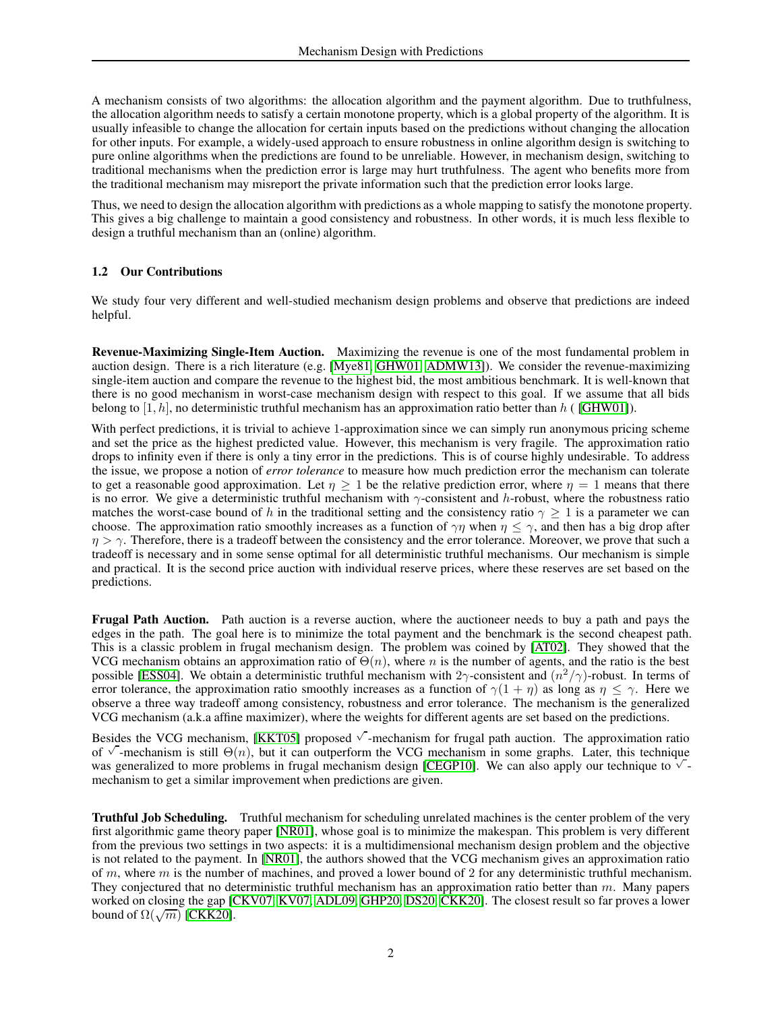A mechanism consists of two algorithms: the allocation algorithm and the payment algorithm. Due to truthfulness, the allocation algorithm needs to satisfy a certain monotone property, which is a global property of the algorithm. It is usually infeasible to change the allocation for certain inputs based on the predictions without changing the allocation for other inputs. For example, a widely-used approach to ensure robustness in online algorithm design is switching to pure online algorithms when the predictions are found to be unreliable. However, in mechanism design, switching to traditional mechanisms when the prediction error is large may hurt truthfulness. The agent who benefits more from the traditional mechanism may misreport the private information such that the prediction error looks large.

Thus, we need to design the allocation algorithm with predictions as a whole mapping to satisfy the monotone property. This gives a big challenge to maintain a good consistency and robustness. In other words, it is much less flexible to design a truthful mechanism than an (online) algorithm.

# 1.2 Our Contributions

We study four very different and well-studied mechanism design problems and observe that predictions are indeed helpful.

Revenue-Maximizing Single-Item Auction. Maximizing the revenue is one of the most fundamental problem in auction design. There is a rich literature (e.g. [Mye81, GHW01, ADMW13]). We consider the revenue-maximizing single-item auction and compare the revenue to the highest bid, the most ambitious benchmark. It is well-known that there is no good mechanism in worst-case mechanism design with respect to this goal. If we assume that all bids belong to [1, h], no deterministic truthful mechanism has an approximation ratio better than h ( [GHW01]).

With perfect predictions, it is trivial to achieve 1-approximation since we can simply run anonymous pricing scheme and set the price as the highest predicted value. However, this mechanism is very fragile. The approximation ratio drops to infinity even if there is only a tiny error in the predictions. This is of course highly undesirable. To address the issue, we propose a notion of *error tolerance* to measure how much prediction error the mechanism can tolerate to get a reasonable good approximation. Let  $\eta \ge 1$  be the relative prediction error, where  $\eta = 1$  means that there is no error. We give a deterministic truthful mechanism with  $\gamma$ -consistent and h-robust, where the robustness ratio matches the worst-case bound of h in the traditional setting and the consistency ratio  $\gamma \geq 1$  is a parameter we can choose. The approximation ratio smoothly increases as a function of  $\gamma\eta$  when  $\eta \leq \gamma$ , and then has a big drop after  $\eta > \gamma$ . Therefore, there is a tradeoff between the consistency and the error tolerance. Moreover, we prove that such a tradeoff is necessary and in some sense optimal for all deterministic truthful mechanisms. Our mechanism is simple and practical. It is the second price auction with individual reserve prices, where these reserves are set based on the predictions.

Frugal Path Auction. Path auction is a reverse auction, where the auctioneer needs to buy a path and pays the edges in the path. The goal here is to minimize the total payment and the benchmark is the second cheapest path. This is a classic problem in frugal mechanism design. The problem was coined by [AT02]. They showed that the VCG mechanism obtains an approximation ratio of  $\Theta(n)$ , where n is the number of agents, and the ratio is the best possible [ESS04]. We obtain a deterministic truthful mechanism with 2 $\gamma$ -consistent and  $(n^2/\gamma)$ -robust. In terms of error tolerance, the approximation ratio smoothly increases as a function of  $\gamma(1 + \eta)$  as long as  $\eta \leq \gamma$ . Here we observe a three way tradeoff among consistency, robustness and error tolerance. The mechanism is the generalized VCG mechanism (a.k.a affine maximizer), where the weights for different agents are set based on the predictions.

Besides the VCG mechanism, [KKT05] proposed  $\sqrt{\ }$ -mechanism for frugal path auction. The approximation ratio of  $\sqrt{\ }$ -mechanism is still  $\Theta(n)$ , but it can outperform the VCG mechanism in some graphs. Later, this technique was generalized to more problems in frugal mechanism design [CEGP10]. We can also apply our technique to  $\sqrt{\ }$ mechanism to get a similar improvement when predictions are given.

Truthful Job Scheduling. Truthful mechanism for scheduling unrelated machines is the center problem of the very first algorithmic game theory paper [NR01], whose goal is to minimize the makespan. This problem is very different from the previous two settings in two aspects: it is a multidimensional mechanism design problem and the objective is not related to the payment. In [NR01], the authors showed that the VCG mechanism gives an approximation ratio of m, where m is the number of machines, and proved a lower bound of 2 for any deterministic truthful mechanism. They conjectured that no deterministic truthful mechanism has an approximation ratio better than  $m$ . Many papers worked on closing the gap [CKV07, KV07, ADL09, GHP20, DS20, CKK20]. The closest result so far proves a lower bound of  $\Omega(\sqrt{m})$  [CKK20].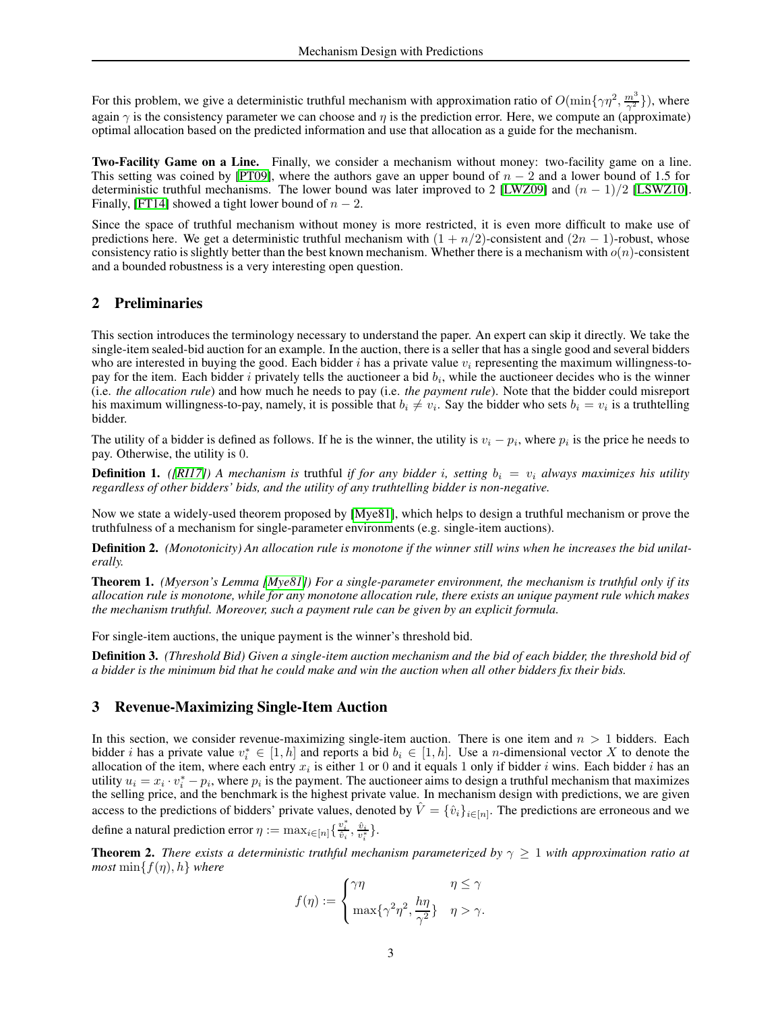For this problem, we give a deterministic truthful mechanism with approximation ratio of  $O(\min\{\gamma\eta^2, \frac{m^3}{\gamma^2}\})$ , where again  $\gamma$  is the consistency parameter we can choose and  $\eta$  is the prediction error. Here, we compute an (approximate) optimal allocation based on the predicted information and use that allocation as a guide for the mechanism.

Two-Facility Game on a Line. Finally, we consider a mechanism without money: two-facility game on a line. This setting was coined by [PT09], where the authors gave an upper bound of  $n - 2$  and a lower bound of 1.5 for deterministic truthful mechanisms. The lower bound was later improved to 2 [LWZ09] and  $(n - 1)/2$  [LSWZ10]. Finally, [FT14] showed a tight lower bound of  $n - 2$ .

Since the space of truthful mechanism without money is more restricted, it is even more difficult to make use of predictions here. We get a deterministic truthful mechanism with  $(1 + n/2)$ -consistent and  $(2n - 1)$ -robust, whose consistency ratio is slightly better than the best known mechanism. Whether there is a mechanism with  $o(n)$ -consistent and a bounded robustness is a very interesting open question.

# 2 Preliminaries

This section introduces the terminology necessary to understand the paper. An expert can skip it directly. We take the single-item sealed-bid auction for an example. In the auction, there is a seller that has a single good and several bidders who are interested in buying the good. Each bidder i has a private value  $v_i$  representing the maximum willingness-topay for the item. Each bidder  $i$  privately tells the auctioneer a bid  $b_i$ , while the auctioneer decides who is the winner (i.e. *the allocation rule*) and how much he needs to pay (i.e. *the payment rule*). Note that the bidder could misreport his maximum willingness-to-pay, namely, it is possible that  $b_i \neq v_i$ . Say the bidder who sets  $b_i = v_i$  is a truthtelling bidder.

The utility of a bidder is defined as follows. If he is the winner, the utility is  $v_i - p_i$ , where  $p_i$  is the price he needs to pay. Otherwise, the utility is 0.

**Definition 1.** *([RI17])* A mechanism is truthful *if for any bidder i*, setting  $b_i = v_i$  *always maximizes his utility regardless of other bidders' bids, and the utility of any truthtelling bidder is non-negative.*

Now we state a widely-used theorem proposed by [Mye81], which helps to design a truthful mechanism or prove the truthfulness of a mechanism for single-parameter environments (e.g. single-item auctions).

Definition 2. (Monotonicity) An allocation rule is monotone if the winner still wins when he increases the bid unilat*erally.*

<span id="page-2-1"></span>Theorem 1. *(Myerson's Lemma [Mye81]) For a single-parameter environment, the mechanism is truthful only if its allocation rule is monotone, while for any monotone allocation rule, there exists an unique payment rule which makes the mechanism truthful. Moreover, such a payment rule can be given by an explicit formula.*

For single-item auctions, the unique payment is the winner's threshold bid.

Definition 3. *(Threshold Bid) Given a single-item auction mechanism and the bid of each bidder, the threshold bid of a bidder is the minimum bid that he could make and win the auction when all other bidders fix their bids.*

# 3 Revenue-Maximizing Single-Item Auction

In this section, we consider revenue-maximizing single-item auction. There is one item and  $n > 1$  bidders. Each bidder *i* has a private value  $v_i^* \in [1, h]$  and reports a bid  $b_i \in [1, h]$ . Use a *n*-dimensional vector X to denote the allocation of the item, where each entry  $x_i$  is either 1 or 0 and it equals 1 only if bidder i wins. Each bidder i has an utility  $u_i = x_i \cdot v_i^* - p_i$ , where  $p_i$  is the payment. The auctioneer aims to design a truthful mechanism that maximizes the selling price, and the benchmark is the highest private value. In mechanism design with predictions, we are given access to the predictions of bidders' private values, denoted by  $\hat{V} = \{\hat{v}_i\}_{i \in [n]}$ . The predictions are erroneous and we define a natural prediction error  $\eta := \max_{i \in [n]} \{ \frac{v_i^*}{\hat{v}_i}, \frac{\hat{v}_i}{v_i^*} \}.$ 

<span id="page-2-0"></span>**Theorem 2.** *There exists a deterministic truthful mechanism parameterized by*  $\gamma \geq 1$  *with approximation ratio at most*  $\min\{f(\eta), h\}$  *where* 

$$
f(\eta):=\begin{cases} \gamma\eta & \eta\leq\gamma\\ \max\{\gamma^2\eta^2,\frac{h\eta}{\gamma^2}\} & \eta>\gamma. \end{cases}
$$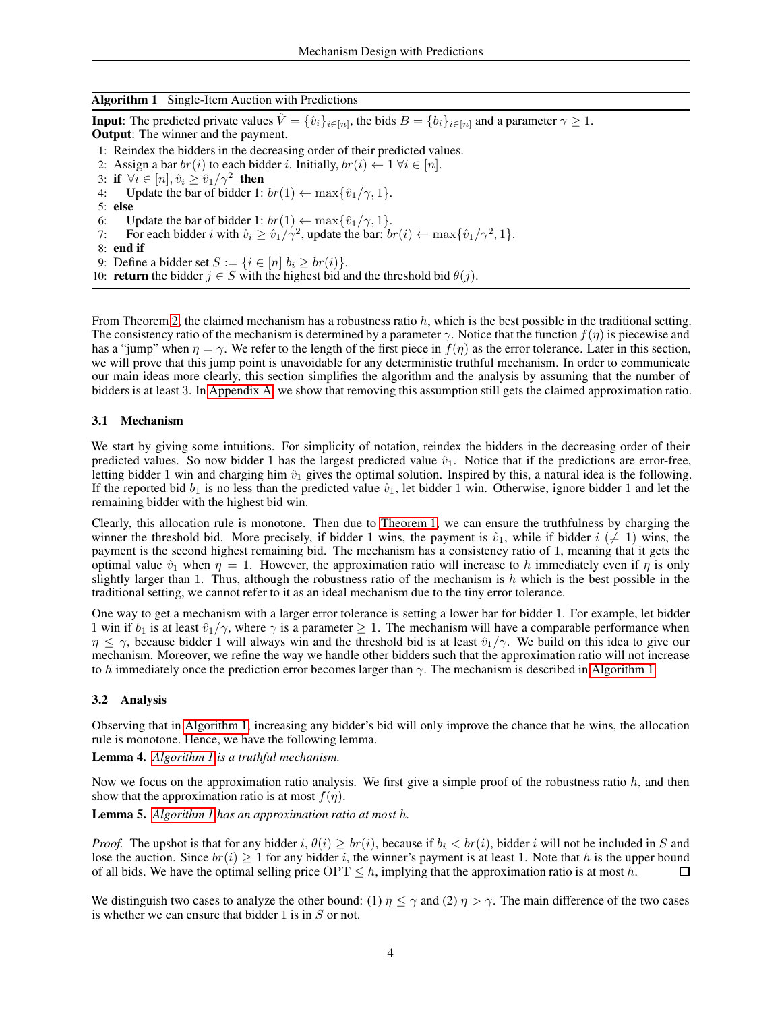### <span id="page-3-0"></span>Algorithm 1 Single-Item Auction with Predictions

**Input:** The predicted private values  $\hat{V} = \{\hat{v}_i\}_{i \in [n]}$ , the bids  $B = \{b_i\}_{i \in [n]}$  and a parameter  $\gamma \ge 1$ . Output: The winner and the payment.

- 1: Reindex the bidders in the decreasing order of their predicted values.
- 2: Assign a bar  $br(i)$  to each bidder i. Initially,  $br(i) \leftarrow 1 \ \forall i \in [n]$ .
- 3: if  $\forall i \in [n], \hat{v}_i \geq \hat{v}_1/\gamma^2$  then
- 4: Update the bar of bidder 1:  $br(1) \leftarrow \max{\{\hat{v}_1/\gamma, 1\}}$ .
- 5: else
- 6: Update the bar of bidder 1:  $br(1) \leftarrow \max{\{\hat{v}_1/\gamma, 1\}}$ .<br>7: For each bidder *i* with  $\hat{v}_i > \hat{v}_1/\gamma^2$ , update the bar: *bi*
- 7: For each bidder i with  $\hat{v}_i \ge \hat{v}_1/\gamma^2$ , update the bar:  $br(i) \leftarrow \max{\{\hat{v}_1/\gamma^2, 1\}}$ .
- 8: end if
- 9: Define a bidder set  $S := \{i \in [n]| b_i \ge br(i) \}.$
- 10: **return** the bidder  $j \in S$  with the highest bid and the threshold bid  $\theta(j)$ .

From Theorem [2,](#page-2-0) the claimed mechanism has a robustness ratio h, which is the best possible in the traditional setting. The consistency ratio of the mechanism is determined by a parameter  $\gamma$ . Notice that the function  $f(\eta)$  is piecewise and has a "jump" when  $\eta = \gamma$ . We refer to the length of the first piece in  $f(\eta)$  as the error tolerance. Later in this section, we will prove that this jump point is unavoidable for any deterministic truthful mechanism. In order to communicate our main ideas more clearly, this section simplifies the algorithm and the analysis by assuming that the number of bidders is at least 3. In [Appendix A,](#page-16-0) we show that removing this assumption still gets the claimed approximation ratio.

# 3.1 Mechanism

We start by giving some intuitions. For simplicity of notation, reindex the bidders in the decreasing order of their predicted values. So now bidder 1 has the largest predicted value  $\hat{v}_1$ . Notice that if the predictions are error-free, letting bidder 1 win and charging him  $\hat{v}_1$  gives the optimal solution. Inspired by this, a natural idea is the following. If the reported bid  $b_1$  is no less than the predicted value  $\hat{v}_1$ , let bidder 1 win. Otherwise, ignore bidder 1 and let the remaining bidder with the highest bid win.

Clearly, this allocation rule is monotone. Then due to [Theorem 1,](#page-2-1) we can ensure the truthfulness by charging the winner the threshold bid. More precisely, if bidder 1 wins, the payment is  $\hat{v}_1$ , while if bidder  $i \neq 1$ ) wins, the payment is the second highest remaining bid. The mechanism has a consistency ratio of 1, meaning that it gets the optimal value  $\hat{v}_1$  when  $\eta = 1$ . However, the approximation ratio will increase to h immediately even if  $\eta$  is only slightly larger than 1. Thus, although the robustness ratio of the mechanism is h which is the best possible in the traditional setting, we cannot refer to it as an ideal mechanism due to the tiny error tolerance.

One way to get a mechanism with a larger error tolerance is setting a lower bar for bidder 1. For example, let bidder 1 win if  $b_1$  is at least  $\hat{v}_1/\gamma$ , where  $\gamma$  is a parameter  $\geq 1$ . The mechanism will have a comparable performance when  $\eta \leq \gamma$ , because bidder 1 will always win and the threshold bid is at least  $\hat{v}_1/\gamma$ . We build on this idea to give our mechanism. Moreover, we refine the way we handle other bidders such that the approximation ratio will not increase to h immediately once the prediction error becomes larger than  $\gamma$ . The mechanism is described in [Algorithm 1.](#page-3-0)

# 3.2 Analysis

Observing that in [Algorithm 1,](#page-3-0) increasing any bidder's bid will only improve the chance that he wins, the allocation rule is monotone. Hence, we have the following lemma.

Lemma 4. *[Algorithm 1](#page-3-0) is a truthful mechanism.*

Now we focus on the approximation ratio analysis. We first give a simple proof of the robustness ratio  $h$ , and then show that the approximation ratio is at most  $f(\eta)$ .

<span id="page-3-2"></span>Lemma 5. *[Algorithm 1](#page-3-0) has an approximation ratio at most* h*.*

*Proof.* The upshot is that for any bidder i,  $\theta(i) \geq br(i)$ , because if  $b_i < br(i)$ , bidder i will not be included in S and lose the auction. Since  $br(i) \ge 1$  for any bidder i, the winner's payment is at least 1. Note that h is the upper bound of all bids. We have the optimal selling price OPT  $\le h$ , implying that the approximation ratio is at of all bids. We have the optimal selling price  $\text{OPT} \leq h$ , implying that the approximation ratio is at most h.

<span id="page-3-1"></span>We distinguish two cases to analyze the other bound: (1)  $\eta \le \gamma$  and (2)  $\eta > \gamma$ . The main difference of the two cases is whether we can ensure that bidder  $1$  is in  $S$  or not.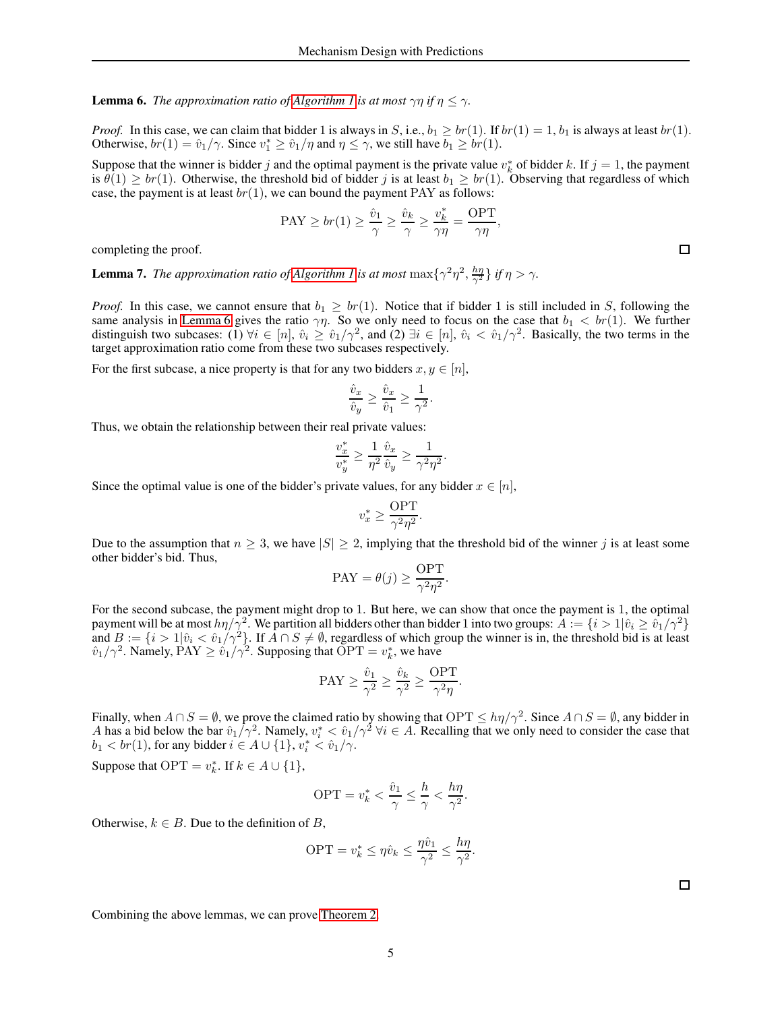**Lemma 6.** *The approximation ratio of [Algorithm 1](#page-3-0) is at most*  $\gamma \eta$  *if*  $\eta \leq \gamma$ .

*Proof.* In this case, we can claim that bidder 1 is always in S, i.e.,  $b_1 \ge br(1)$ . If  $br(1) = 1$ ,  $b_1$  is always at least  $br(1)$ . Otherwise,  $br(1) = \hat{v}_1/\gamma$ . Since  $v_1^* \ge \hat{v}_1/\eta$  and  $\eta \le \gamma$ , we still have  $b_1 \ge br(1)$ .

Suppose that the winner is bidder j and the optimal payment is the private value  $v_k^*$  of bidder k. If  $j = 1$ , the payment is  $\theta(1) \ge br(1)$ . Otherwise, the threshold bid of bidder j is at least  $b_1 \ge br(1)$ . Observing that regardless of which case, the payment is at least  $br(1)$ , we can bound the payment PAY as follows:

$$
\text{PAY} \ge br(1) \ge \frac{\hat{v}_1}{\gamma} \ge \frac{\hat{v}_k}{\gamma} \ge \frac{v_k^*}{\gamma \eta} = \frac{\text{OPT}}{\gamma \eta},
$$

completing the proof.

**Lemma 7.** *The approximation ratio of [Algorithm 1](#page-3-0) is at most*  $\max\{\gamma^2\eta^2, \frac{h\eta}{\gamma^2}\}$  *if*  $\eta > \gamma$ .

*Proof.* In this case, we cannot ensure that  $b_1 \geq br(1)$ . Notice that if bidder 1 is still included in S, following the same analysis in [Lemma 6](#page-3-1) gives the ratio  $\gamma\eta$ . So we only need to focus on the case that  $b_1 < br(1)$ . We further distinguish two subcases: (1)  $\forall i \in [n], \hat{v}_i \ge \hat{v}_1/\gamma^2$ , and (2)  $\exists i \in [n], \hat{v}_i < \hat{v}_1/\gamma^2$ . Basically, the two terms in the target approximation ratio come from these two subcases respectively.

For the first subcase, a nice property is that for any two bidders  $x, y \in [n]$ ,

$$
\frac{\hat{v}_x}{\hat{v}_y} \ge \frac{\hat{v}_x}{\hat{v}_1} \ge \frac{1}{\gamma^2}.
$$

Thus, we obtain the relationship between their real private values:

$$
\frac{v_x^*}{v_y^*} \ge \frac{1}{\eta^2} \frac{\hat{v}_x}{\hat{v}_y} \ge \frac{1}{\gamma^2 \eta^2}.
$$

Since the optimal value is one of the bidder's private values, for any bidder  $x \in [n]$ ,

$$
v_x^* \ge \frac{\text{OPT}}{\gamma^2 \eta^2}.
$$

Due to the assumption that  $n \geq 3$ , we have  $|S| \geq 2$ , implying that the threshold bid of the winner j is at least some other bidder's bid. Thus,

$$
PAY = \theta(j) \ge \frac{OPT}{\gamma^2 \eta^2}.
$$

For the second subcase, the payment might drop to 1. But here, we can show that once the payment is 1, the optimal payment will be at most  $h\eta/\gamma^2$ . We partition all bidders other than bidder 1 into two groups:  $A := \{i > 1 | \hat{v}_i \ge \hat{v}_1/\gamma^2\}$ and  $B := \{i > 1 | \hat{v}_i < \hat{v}_1 / \gamma^2\}$ . If  $\bar{A} \cap S \neq \emptyset$ , regardless of which group the winner is in, the threshold bid is at least  $\hat{v}_1/\gamma^2$ . Namely,  $\text{PAY} \geq \hat{v}_1/\gamma^2$ . Supposing that  $\text{OPT} = v_k^*$ , we have

$$
PAY \ge \frac{\hat{v}_1}{\gamma^2} \ge \frac{\hat{v}_k}{\gamma^2} \ge \frac{OPT}{\gamma^2 \eta}.
$$

Finally, when  $A \cap S = \emptyset$ , we prove the claimed ratio by showing that  $\text{OPT} \le h\eta/\gamma^2$ . Since  $A \cap S = \emptyset$ , any bidder in A has a bid below the bar  $\hat{v}_1/\gamma^2$ . Namely,  $v_i^* < \hat{v}_1/\gamma^2 \,\forall i \in A$ . Recalling that we only need to consider the case that  $b_1 < br(1)$ , for any bidder  $i \in A \cup \{1\}$ ,  $v_i^* < \hat{v}_1/\gamma$ .

Suppose that  $\text{OPT} = v_k^*$ . If  $k \in A \cup \{1\}$ ,

$$
\text{OPT} = v_k^* < \frac{\hat{v}_1}{\gamma} \le \frac{h}{\gamma} < \frac{h\eta}{\gamma^2}
$$

.

Otherwise,  $k \in B$ . Due to the definition of B,

$$
\text{OPT} = v_k^* \le \eta \hat{v}_k \le \frac{\eta \hat{v}_1}{\gamma^2} \le \frac{h\eta}{\gamma^2}.
$$

Combining the above lemmas, we can prove [Theorem 2.](#page-2-0)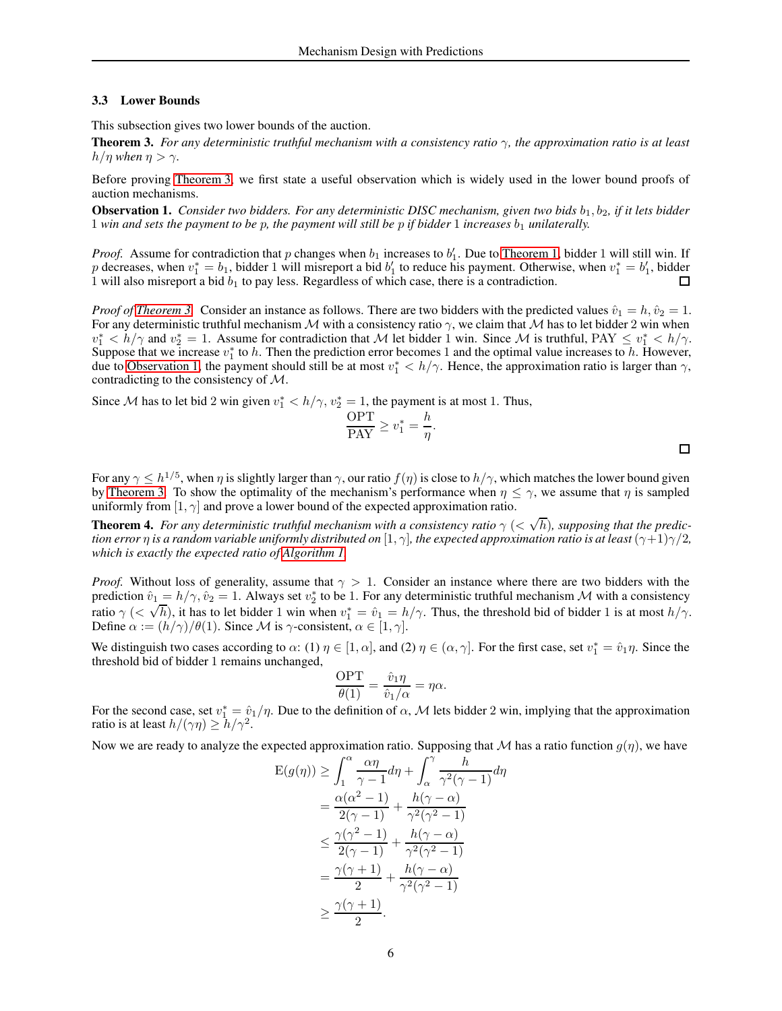#### 3.3 Lower Bounds

<span id="page-5-0"></span>This subsection gives two lower bounds of the auction.

Theorem 3. *For any deterministic truthful mechanism with a consistency ratio* γ*, the approximation ratio is at least*  $h/\eta$  *when*  $\eta > \gamma$ .

<span id="page-5-1"></span>Before proving [Theorem 3,](#page-5-0) we first state a useful observation which is widely used in the lower bound proofs of auction mechanisms.

Observation 1. *Consider two bidders. For any deterministic DISC mechanism, given two bids*  $b_1$ ,  $b_2$ *, if it lets bidder* 1 win and sets the payment to be p, the payment will still be p if bidder 1 increases  $b_1$  *unilaterally.* 

*Proof.* Assume for contradiction that p changes when  $b_1$  increases to  $b'_1$ . Due to [Theorem 1,](#page-2-1) bidder 1 will still win. If p decreases, when  $v_1^* = b_1$ , bidder 1 will misreport a bid  $b'_1$  to reduce his payment. Otherwise, when  $v_1^* = b'_1$ , bidder 1 will also misreport a bid  $b_1$  to pay less. Regardless of which case, there is a contradiction.  $\Box$ 

*Proof of [Theorem 3.](#page-5-0)* Consider an instance as follows. There are two bidders with the predicted values  $\hat{v}_1 = h$ ,  $\hat{v}_2 = 1$ . For any deterministic truthful mechanism M with a consistency ratio  $\gamma$ , we claim that M has to let bidder 2 win when  $v_1^* < h/\gamma$  and  $v_2^* = 1$ . Assume for contradiction that M let bidder 1 win. Since M is truthful, PAY  $\le v_1^* < h/\gamma$ . Suppose that we increase  $v_1^*$  to h. Then the prediction error becomes 1 and the optimal value increases to h. However, due to [Observation 1,](#page-5-1) the payment should still be at most  $v_1^* < h/\gamma$ . Hence, the approximation ratio is larger than  $\gamma$ , contradicting to the consistency of M.

Since *M* has to let bid 2 win given  $v_1^* < h/\gamma$ ,  $v_2^* = 1$ , the payment is at most 1. Thus,

$$
\frac{\text{OPT}}{\text{PAY}} \ge v_1^* = \frac{h}{\eta}.
$$

For any  $\gamma \leq h^{1/5}$ , when  $\eta$  is slightly larger than  $\gamma$ , our ratio  $f(\eta)$  is close to  $h/\gamma$ , which matches the lower bound given by [Theorem 3.](#page-5-0) To show the optimality of the mechanism's performance when  $\eta \leq \gamma$ , we assume that  $\eta$  is sampled uniformly from  $[1, \gamma]$  and prove a lower bound of the expected approximation ratio.

**Theorem 4.** For any deterministic truthful mechanism with a consistency ratio  $\gamma$  ( $<$   $\sqrt{h}$ ), supposing that the predic*tion error*  $\eta$  *is a random variable uniformly distributed on* [1,  $\gamma$ ]*, the expected approximation ratio is at least* ( $\gamma$ +1) $\gamma$ /2*, which is exactly the expected ratio of [Algorithm 1.](#page-3-0)*

*Proof.* Without loss of generality, assume that  $\gamma > 1$ . Consider an instance where there are two bidders with the prediction  $\hat{v}_1 = h/\gamma$ ,  $\hat{v}_2 = 1$ . Always set  $v_2^*$  to be 1. For any deterministic truthful mechanism M with a consistency ratio  $\gamma$  ( $\langle \sqrt{h} \rangle$ , it has to let bidder 1 win when  $v_1^* = \hat{v}_1 = h/\gamma$ . Thus, the threshold bid of bidder 1 is at most  $h/\gamma$ . Define  $\alpha := (h/\gamma)/\theta(1)$ . Since M is  $\gamma$ -consistent,  $\alpha \in [1, \gamma]$ .

We distinguish two cases according to  $\alpha$ : (1)  $\eta \in [1, \alpha]$ , and (2)  $\eta \in (\alpha, \gamma]$ . For the first case, set  $v_1^* = \hat{v}_1 \eta$ . Since the threshold bid of bidder 1 remains unchanged,

$$
\frac{\text{OPT}}{\theta(1)} = \frac{\hat{v}_1 \eta}{\hat{v}_1/\alpha} = \eta \alpha.
$$

For the second case, set  $v_1^* = \hat{v}_1/\eta$ . Due to the definition of  $\alpha$ , M lets bidder 2 win, implying that the approximation ratio is at least  $h/(\gamma \eta) \ge h/\gamma^2$ .

Now we are ready to analyze the expected approximation ratio. Supposing that M has a ratio function  $g(\eta)$ , we have

$$
E(g(\eta)) \geq \int_1^{\alpha} \frac{\alpha \eta}{\gamma - 1} d\eta + \int_{\alpha}^{\gamma} \frac{h}{\gamma^2 (\gamma - 1)} d\eta
$$
  
= 
$$
\frac{\alpha(\alpha^2 - 1)}{2(\gamma - 1)} + \frac{h(\gamma - \alpha)}{\gamma^2 (\gamma^2 - 1)}
$$
  

$$
\leq \frac{\gamma(\gamma^2 - 1)}{2(\gamma - 1)} + \frac{h(\gamma - \alpha)}{\gamma^2 (\gamma^2 - 1)}
$$
  
= 
$$
\frac{\gamma(\gamma + 1)}{2} + \frac{h(\gamma - \alpha)}{\gamma^2 (\gamma^2 - 1)}
$$
  

$$
\geq \frac{\gamma(\gamma + 1)}{2}.
$$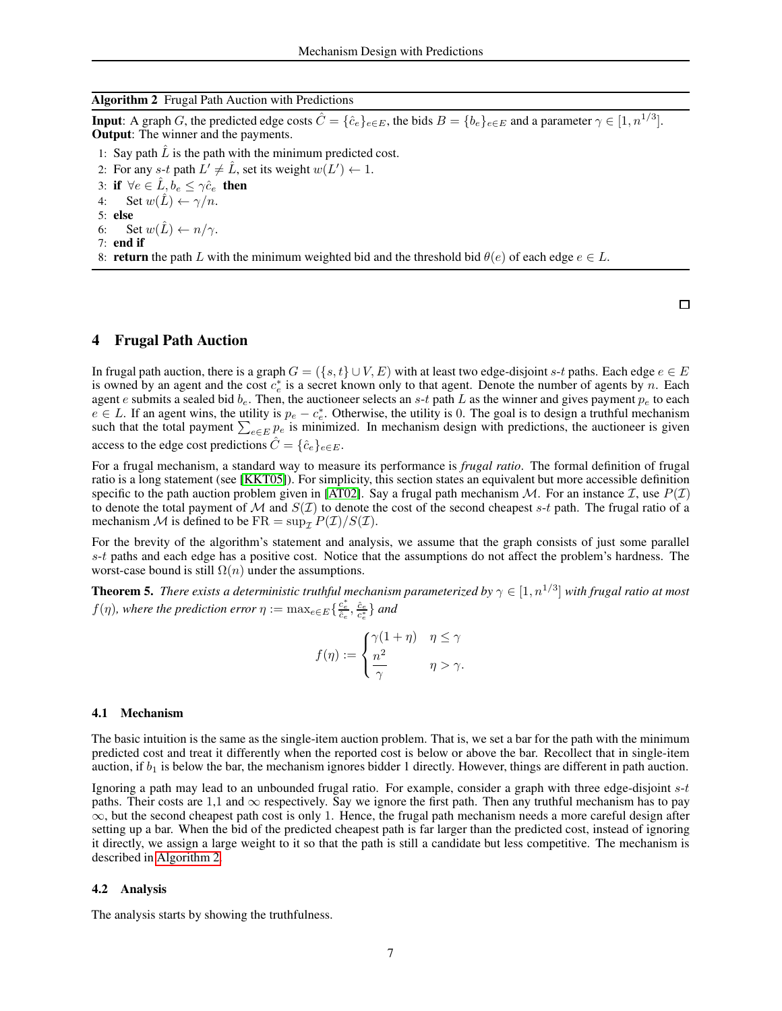#### <span id="page-6-0"></span>Algorithm 2 Frugal Path Auction with Predictions

**Input:** A graph G, the predicted edge costs  $\hat{C} = \{\hat{c}_e\}_{e \in E}$ , the bids  $B = \{b_e\}_{e \in E}$  and a parameter  $\gamma \in [1, n^{1/3}]$ . Output: The winner and the payments.

- 1: Say path  $\hat{L}$  is the path with the minimum predicted cost.
- 2: For any  $s-t$  path  $L' \neq \hat{L}$ , set its weight  $w(L') \leftarrow 1$ .

3: if  $\forall e \in \hat{L}, b_e \leq \gamma \hat{c}_e$  then

- 4: Set  $w(\hat{L}) \leftarrow \gamma/n$ .
- 5: else
- 6: Set  $w(\hat{L}) \leftarrow n/\gamma$ .
- 7: end if
- 8: return the path L with the minimum weighted bid and the threshold bid  $\theta(e)$  of each edge  $e \in L$ .

# 4 Frugal Path Auction

In frugal path auction, there is a graph  $G = (\{s, t\} \cup V, E)$  with at least two edge-disjoint s-t paths. Each edge  $e \in E$ is owned by an agent and the cost  $c_e^*$  is a secret known only to that agent. Denote the number of agents by n. Each agent e submits a sealed bid  $b_e$ . Then, the auctioneer selects an s-t path L as the winner and gives payment  $p_e$  to each  $e \in L$ . If an agent wins, the utility is  $p_e - c_e^*$ . Otherwise, the utility is 0. The goal is to design a truthful mechanism such that the total payment  $\sum_{e \in E} p_e$  is minimized. In mechanism design with predictions, the auctioneer is given access to the edge cost predictions  $\hat{C} = \{\hat{c}_e\}_{e \in E}$ .

For a frugal mechanism, a standard way to measure its performance is *frugal ratio*. The formal definition of frugal ratio is a long statement (see [KKT05]). For simplicity, this section states an equivalent but more accessible definition specific to the path auction problem given in [AT02]. Say a frugal path mechanism  $M$ . For an instance  $\mathcal{I}$ , use  $P(\mathcal{I})$ to denote the total payment of M and  $S(\mathcal{I})$  to denote the cost of the second cheapest s-t path. The frugal ratio of a mechanism M is defined to be  $FR = \sup_{\mathcal{T}} P(\mathcal{I})/S(\mathcal{I}).$ 

For the brevity of the algorithm's statement and analysis, we assume that the graph consists of just some parallel  $s-t$  paths and each edge has a positive cost. Notice that the assumptions do not affect the problem's hardness. The worst-case bound is still  $\Omega(n)$  under the assumptions.

<span id="page-6-1"></span>**Theorem 5.** There exists a deterministic truthful mechanism parameterized by  $\gamma \in [1, n^{1/3}]$  with frugal ratio at most  $f(\eta)$ , where the prediction error  $\eta := \max_{e \in E} \{ \frac{c_e^*}{\hat{e}_e}, \frac{\hat{c}_e}{c_e^*} \}$  and

$$
f(\eta) := \begin{cases} \gamma(1+\eta) & \eta \le \gamma \\ \frac{n^2}{\gamma} & \eta > \gamma. \end{cases}
$$

#### 4.1 Mechanism

The basic intuition is the same as the single-item auction problem. That is, we set a bar for the path with the minimum predicted cost and treat it differently when the reported cost is below or above the bar. Recollect that in single-item auction, if  $b_1$  is below the bar, the mechanism ignores bidder 1 directly. However, things are different in path auction.

Ignoring a path may lead to an unbounded frugal ratio. For example, consider a graph with three edge-disjoint s-t paths. Their costs are 1,1 and  $\infty$  respectively. Say we ignore the first path. Then any truthful mechanism has to pay  $\infty$ , but the second cheapest path cost is only 1. Hence, the frugal path mechanism needs a more careful design after setting up a bar. When the bid of the predicted cheapest path is far larger than the predicted cost, instead of ignoring it directly, we assign a large weight to it so that the path is still a candidate but less competitive. The mechanism is described in [Algorithm 2.](#page-6-0)

#### 4.2 Analysis

The analysis starts by showing the truthfulness.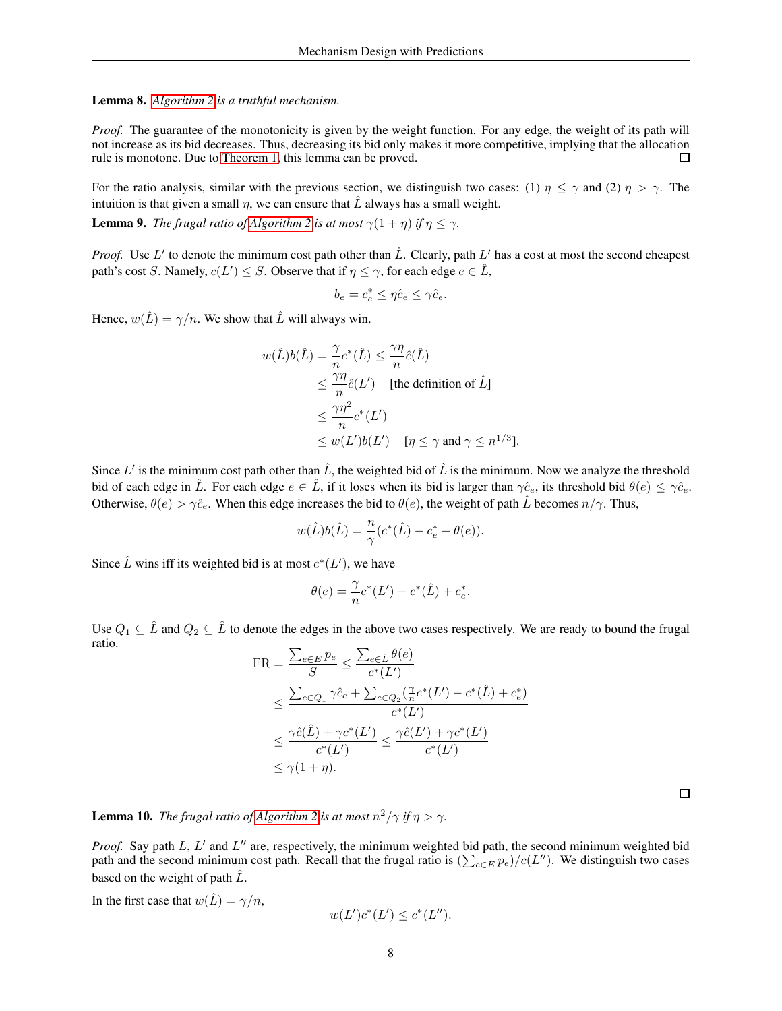Lemma 8. *[Algorithm 2](#page-6-0) is a truthful mechanism.*

*Proof.* The guarantee of the monotonicity is given by the weight function. For any edge, the weight of its path will not increase as its bid decreases. Thus, decreasing its bid only makes it more competitive, implying that the allocation rule is monotone. Due to [Theorem 1,](#page-2-1) this lemma can be proved. □

For the ratio analysis, similar with the previous section, we distinguish two cases: (1)  $\eta \le \gamma$  and (2)  $\eta > \gamma$ . The intuition is that given a small  $\eta$ , we can ensure that  $\hat{L}$  always has a small weight.

**Lemma 9.** *The frugal ratio of [Algorithm 2](#page-6-0) is at most*  $\gamma(1 + \eta)$  *if*  $\eta \leq \gamma$ *.* 

*Proof.* Use L' to denote the minimum cost path other than  $\hat{L}$ . Clearly, path L' has a cost at most the second cheapest path's cost S. Namely,  $c(L') \leq S$ . Observe that if  $\eta \leq \gamma$ , for each edge  $e \in \hat{L}$ ,

$$
b_e = c_e^* \leq \eta \hat{c}_e \leq \gamma \hat{c}_e.
$$

Hence,  $w(\hat{L}) = \gamma/n$ . We show that  $\hat{L}$  will always win.

$$
w(\hat{L})b(\hat{L}) = \frac{\gamma}{n}c^*(\hat{L}) \le \frac{\gamma\eta}{n}\hat{c}(\hat{L})
$$
  
\n
$$
\le \frac{\gamma\eta}{n}\hat{c}(L')
$$
 [the definition of  $\hat{L}$ ]  
\n
$$
\le \frac{\gamma\eta^2}{n}c^*(L')
$$
  
\n
$$
\le w(L')b(L')
$$
 [ $\eta \le \gamma$  and  $\gamma \le n^{1/3}$ ].

Since L' is the minimum cost path other than  $\hat{L}$ , the weighted bid of  $\hat{L}$  is the minimum. Now we analyze the threshold bid of each edge in  $\hat{L}$ . For each edge  $e \in \hat{L}$ , if it loses when its bid is larger than  $\gamma \hat{c}_e$ , its threshold bid  $\theta(e) \leq \gamma \hat{c}_e$ . Otherwise,  $\theta(e) > \gamma \hat{c}_e$ . When this edge increases the bid to  $\theta(e)$ , the weight of path  $\hat{L}$  becomes  $n/\gamma$ . Thus,

$$
w(\hat{L})b(\hat{L}) = \frac{n}{\gamma}(c^*(\hat{L}) - c_e^* + \theta(e)).
$$

Since  $\hat{L}$  wins iff its weighted bid is at most  $c^*(L')$ , we have

$$
\theta(e) = \frac{\gamma}{n}c^*(L') - c^*(\hat{L}) + c_e^*.
$$

Use  $Q_1 \subseteq \hat{L}$  and  $Q_2 \subseteq \hat{L}$  to denote the edges in the above two cases respectively. We are ready to bound the frugal ratio.

$$
\begin{split} \text{FR} &= \frac{\sum_{e \in E} p_e}{S} \le \frac{\sum_{e \in \hat{L}} \theta(e)}{c^*(L')} \\ &\le \frac{\sum_{e \in Q_1} \gamma \hat{c}_e + \sum_{e \in Q_2} (\frac{\gamma}{n} c^*(L') - c^*(\hat{L}) + c_e^*)}{c^*(L')} \\ &\le \frac{\gamma \hat{c}(\hat{L}) + \gamma c^*(L')}{c^*(L')} \le \frac{\gamma \hat{c}(L') + \gamma c^*(L')}{c^*(L')} \\ &\le \gamma (1 + \eta). \end{split}
$$

**Lemma 10.** *The frugal ratio of [Algorithm 2](#page-6-0) is at most*  $n^2/\gamma$  *if*  $\eta > \gamma$ .

*Proof.* Say path L, L' and L" are, respectively, the minimum weighted bid path, the second minimum weighted bid path and the second minimum cost path. Recall that the frugal ratio is  $(\sum_{e \in E} p_e)/c(L'')$ . We distinguish two cases based on the weight of path  $\hat{L}$ .

In the first case that  $w(\hat{L}) = \gamma/n$ ,

$$
w(L')c^*(L') \le c^*(L'').
$$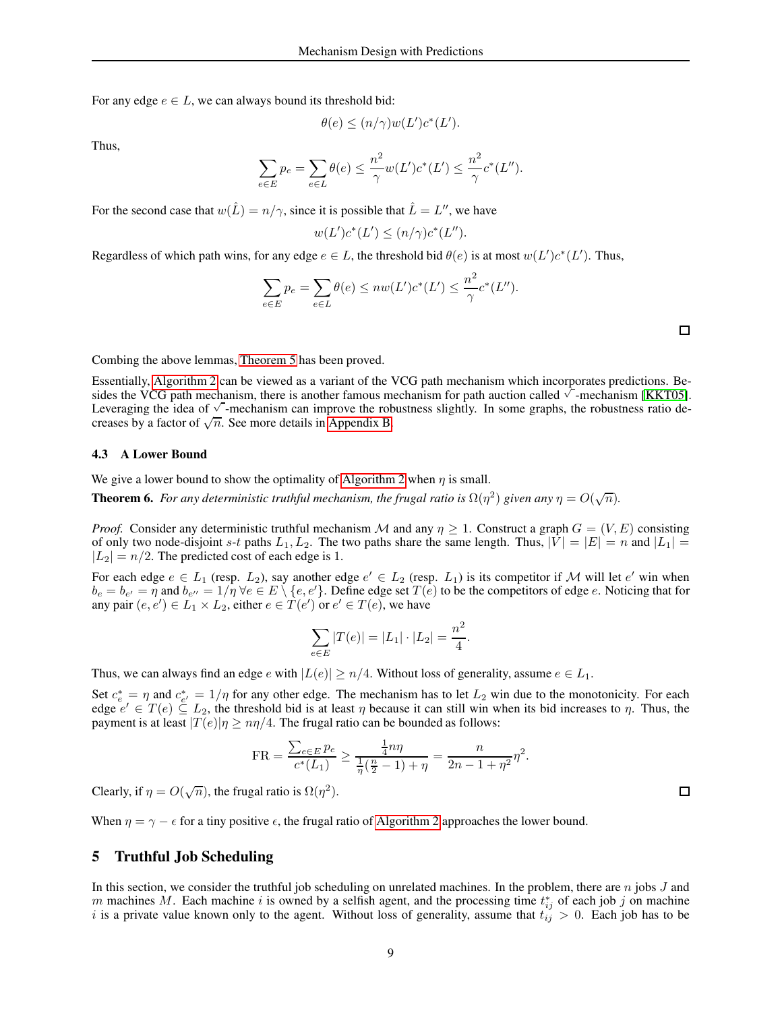For any edge  $e \in L$ , we can always bound its threshold bid:

$$
\theta(e) \le (n/\gamma)w(L')c^*(L').
$$

Thus,

$$
\sum_{e \in E} p_e = \sum_{e \in L} \theta(e) \le \frac{n^2}{\gamma} w(L') c^*(L') \le \frac{n^2}{\gamma} c^*(L'').
$$

For the second case that  $w(\hat{L}) = n/\gamma$ , since it is possible that  $\hat{L} = L''$ , we have

$$
w(L')c^*(L') \le (n/\gamma)c^*(L'').
$$

Regardless of which path wins, for any edge  $e \in L$ , the threshold bid  $\theta(e)$  is at most  $w(L')c^*(L')$ . Thus,

$$
\sum_{e \in E} p_e = \sum_{e \in L} \theta(e) \leq n w(L') c^*(L') \leq \frac{n^2}{\gamma} c^*(L'').
$$

 $\Box$ 

Combing the above lemmas, [Theorem 5](#page-6-1) has been proved.

Essentially, [Algorithm 2](#page-6-0) can be viewed as a variant of the VCG path mechanism which incorporates predictions. Besides the VCG path mechanism, there is another famous mechanism for path auction called  $\sqrt{\ }$ -mechanism [KKT05]. Leveraging the idea of  $\sqrt{\ }$ -mechanism can improve the robustness slightly. In some graphs, the robustness ratio decreases by a factor of  $\sqrt{n}$ . See more details in [Appendix B.](#page-18-0)

#### 4.3 A Lower Bound

We give a lower bound to show the optimality of [Algorithm 2](#page-6-0) when  $\eta$  is small.

**Theorem 6.** For any deterministic truthful mechanism, the frugal ratio is  $\Omega(\eta^2)$  given any  $\eta = O(\sqrt{n})$ .

*Proof.* Consider any deterministic truthful mechanism M and any  $\eta > 1$ . Construct a graph  $G = (V, E)$  consisting of only two node-disjoint s-t paths  $L_1, L_2$ . The two paths share the same length. Thus,  $|V| = |E| = n$  and  $|L_1| =$  $|L_2| = n/2$ . The predicted cost of each edge is 1.

For each edge  $e \in L_1$  (resp.  $L_2$ ), say another edge  $e' \in L_2$  (resp.  $L_1$ ) is its competitor if M will let  $e'$  win when  $b_e = b_{e'} = \eta$  and  $b_{e''} = 1/\eta$   $\forall e \in E \setminus \{e, e'\}$ . Define edge set  $T(e)$  to be the competitors of edge  $e$ . Noticing that for any pair  $(e, e') \in L_1 \times L_2$ , either  $e \in T(e')$  or  $e' \in T(e)$ , we have

$$
\sum_{e \in E} |T(e)| = |L_1| \cdot |L_2| = \frac{n^2}{4}.
$$

Thus, we can always find an edge e with  $|L(e)| \ge n/4$ . Without loss of generality, assume  $e \in L_1$ .

Set  $c_e^* = \eta$  and  $c_{e'}^* = 1/\eta$  for any other edge. The mechanism has to let  $L_2$  win due to the monotonicity. For each edge  $e' \in T(e) \subseteq L_2$ , the threshold bid is at least  $\eta$  because it can still win when its bid increases to  $\eta$ . Thus, the payment is at least  $|T(e)|\eta \geq n\eta/4$ . The frugal ratio can be bounded as follows:

$$
FR = \frac{\sum_{e \in E} p_e}{c^*(L_1)} \ge \frac{\frac{1}{4}n\eta}{\frac{1}{\eta}(\frac{n}{2} - 1) + \eta} = \frac{n}{2n - 1 + \eta^2} \eta^2.
$$

Clearly, if  $\eta = O(\sqrt{n})$ , the frugal ratio is  $\Omega(\eta^2)$ .

When  $\eta = \gamma - \epsilon$  for a tiny positive  $\epsilon$ , the frugal ratio of [Algorithm 2](#page-6-0) approaches the lower bound.

# 5 Truthful Job Scheduling

In this section, we consider the truthful job scheduling on unrelated machines. In the problem, there are  $n$  jobs  $J$  and m machines M. Each machine i is owned by a selfish agent, and the processing time  $t_{ij}^*$  of each job j on machine i is a private value known only to the agent. Without loss of generality, assume that  $t_{ij} > 0$ . Each job has to be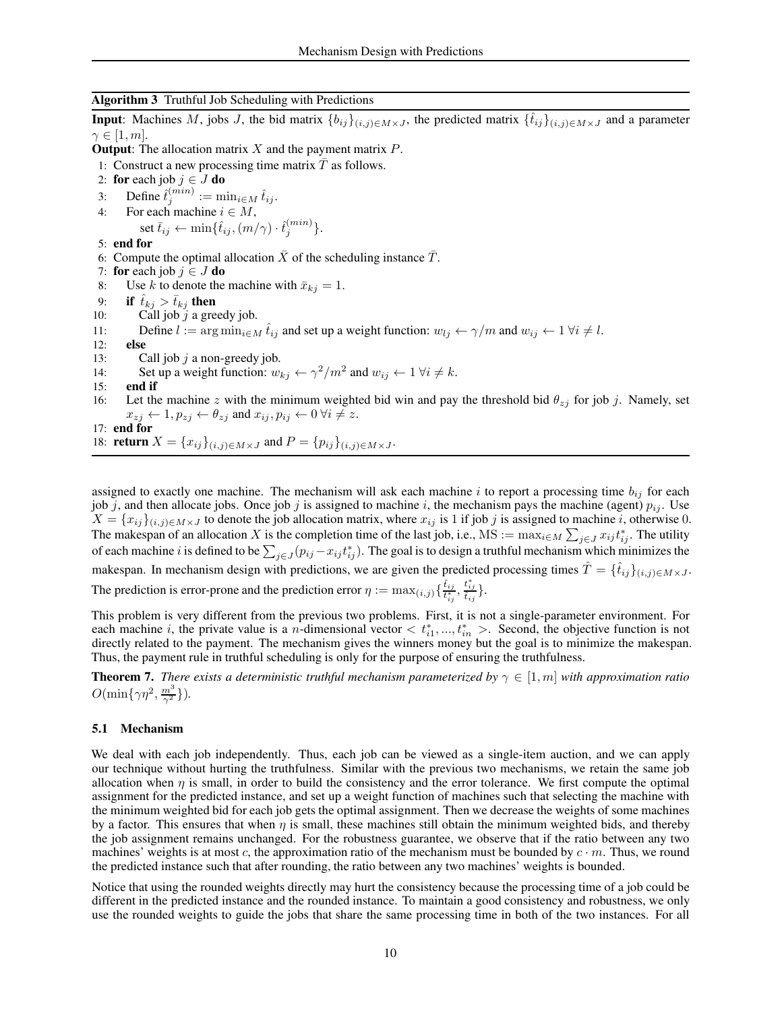### <span id="page-9-0"></span>Algorithm 3 Truthful Job Scheduling with Predictions

**Input**: Machines M, jobs J, the bid matrix  $\{b_{ij}\}_{(i,j)\in M\times J}$ , the predicted matrix  $\{\hat{t}_{ij}\}_{(i,j)\in M\times J}$  and a parameter  $\gamma \in [1, m]$ .

**Output:** The allocation matrix  $X$  and the payment matrix  $P$ .

- 1: Construct a new processing time matrix  $\overline{T}$  as follows.
- 2: for each job  $j \in J$  do<br>3: Define  $\hat{t}_i^{(min)} := m$
- 3: Define  $\hat{t}_j^{(min)} := \min_{i \in M} \hat{t}_{ij}$ .
- 4: For each machine  $i \in M$ ,
- set  $\bar{t}_{ij} \leftarrow \min\{\hat{t}_{ij}, (m/\gamma) \cdot \hat{t}^{(min)}_j\}.$ 5: end for
- 6: Compute the optimal allocation  $\overline{X}$  of the scheduling instance  $\overline{T}$ .
- 
- 7: **for** each job  $j \in J$  **do**<br>8: Use k to denote the Use k to denote the machine with  $\bar{x}_{kj} = 1$ .
- 9: if  $\hat{t}_{kj} > \bar{t}_{kj}$  then
- 10: Call job  $j$  a greedy job.
- 11: Define  $l := \arg \min_{i \in M} \hat{t}_{ij}$  and set up a weight function:  $w_{lj} \leftarrow \gamma/m$  and  $w_{ij} \leftarrow 1 \ \forall i \neq l$ .<br>12: **else**
- else
- 13: Call job  $j$  a non-greedy job.
- 14: Set up a weight function:  $w_{kj} \leftarrow \gamma^2/m^2$  and  $w_{ij} \leftarrow 1 \ \forall i \neq k$ .
- 15: end if
- 16: Let the machine z with the minimum weighted bid win and pay the threshold bid  $\theta_{zj}$  for job j. Namely, set  $x_{zj} \leftarrow 1, p_{zj} \leftarrow \theta_{zj}$  and  $x_{ij}, p_{ij} \leftarrow 0 \ \forall i \neq z$ .
- 17: end for 18: **return**  $X = \{x_{ij}\}_{(i,j)\in M\times J}$  and  $P = \{p_{ij}\}_{(i,j)\in M\times J}$ .

assigned to exactly one machine. The mechanism will ask each machine i to report a processing time  $b_{ij}$  for each job j, and then allocate jobs. Once job j is assigned to machine i, the mechanism pays the machine (agent)  $p_{ij}$ . Use  $X = \{x_{ij}\}_{(i,j)\in M\times J}$  to denote the job allocation matrix, where  $x_{ij}$  is 1 if job j is assigned to machine i, otherwise 0. The makespan of an allocation X is the completion time of the last job, i.e., MS :=  $\max_{i \in M} \sum_{j \in J} x_{ij} t_{ij}^*$ . The utility of each machine *i* is defined to be  $\sum_{j\in J} (p_{ij} - x_{ij}t_{ij}^*)$ . The goal is to design a truthful mechanism which minimizes the makespan. In mechanism design with predictions, we are given the predicted processing times  $\hat{T} = \{\hat{t}_{ij}\}_{(i,j)\in M\times J}$ .  $\frac{\hat{t}_{ij}}{t_{ij}^*}, \frac{t_{ij}^*}{\hat{t}_{ij}}\}.$ 

The prediction is error-prone and the prediction error  $\eta := \max_{(i,j)} \{ \frac{\hat{t}_{ij}}{t_{ij}^*}$ 

This problem is very different from the previous two problems. First, it is not a single-parameter environment. For each machine *i*, the private value is a *n*-dimensional vector  $\langle t_{i1}^*,...,t_{in}^*\rangle$ . Second, the objective function is not directly related to the payment. The mechanism gives the winners money but the goal is to minimize the makespan. Thus, the payment rule in truthful scheduling is only for the purpose of ensuring the truthfulness.

<span id="page-9-1"></span>**Theorem 7.** *There exists a deterministic truthful mechanism parameterized by*  $\gamma \in [1, m]$  *with approximation ratio*  $O(\min\{\gamma\eta^2,\frac{m^3}{\gamma^2}\}).$ 

#### 5.1 Mechanism

We deal with each job independently. Thus, each job can be viewed as a single-item auction, and we can apply our technique without hurting the truthfulness. Similar with the previous two mechanisms, we retain the same job allocation when  $\eta$  is small, in order to build the consistency and the error tolerance. We first compute the optimal assignment for the predicted instance, and set up a weight function of machines such that selecting the machine with the minimum weighted bid for each job gets the optimal assignment. Then we decrease the weights of some machines by a factor. This ensures that when  $\eta$  is small, these machines still obtain the minimum weighted bids, and thereby the job assignment remains unchanged. For the robustness guarantee, we observe that if the ratio between any two machines' weights is at most c, the approximation ratio of the mechanism must be bounded by  $c \cdot m$ . Thus, we round the predicted instance such that after rounding, the ratio between any two machines' weights is bounded.

Notice that using the rounded weights directly may hurt the consistency because the processing time of a job could be different in the predicted instance and the rounded instance. To maintain a good consistency and robustness, we only use the rounded weights to guide the jobs that share the same processing time in both of the two instances. For all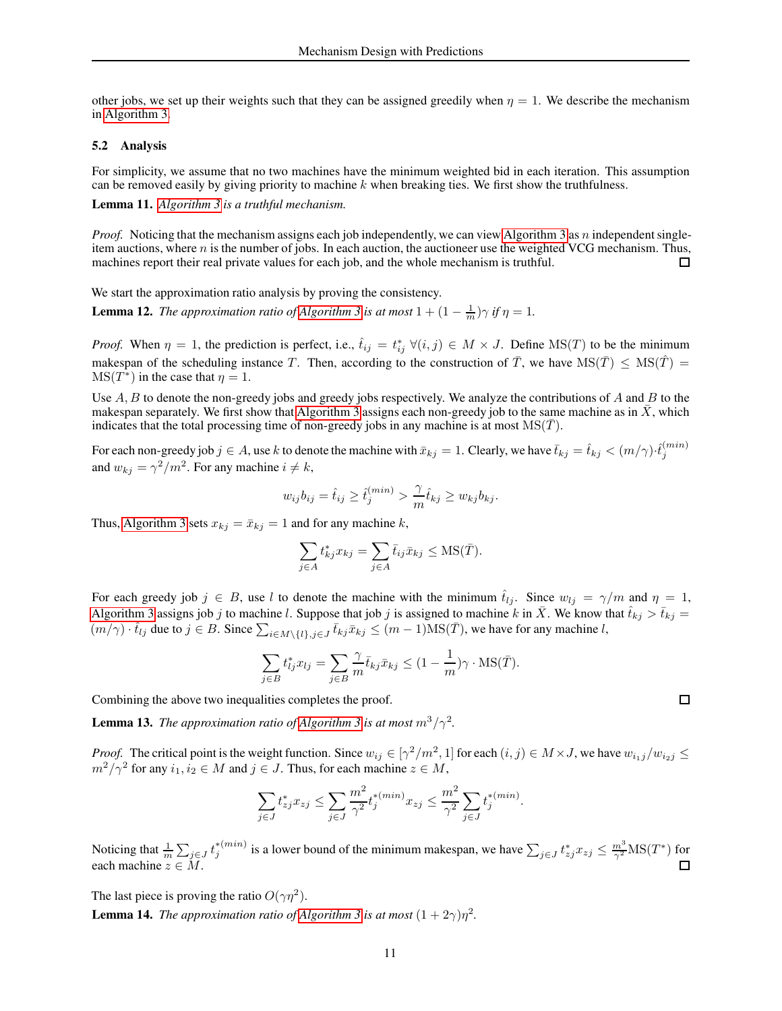other jobs, we set up their weights such that they can be assigned greedily when  $\eta = 1$ . We describe the mechanism in [Algorithm 3.](#page-9-0)

### 5.2 Analysis

For simplicity, we assume that no two machines have the minimum weighted bid in each iteration. This assumption can be removed easily by giving priority to machine  $k$  when breaking ties. We first show the truthfulness.

Lemma 11. *[Algorithm 3](#page-9-0) is a truthful mechanism.*

*Proof.* Noticing that the mechanism assigns each job independently, we can view [Algorithm 3](#page-9-0) as n independent singleitem auctions, where  $n$  is the number of jobs. In each auction, the auctioneer use the weighted VCG mechanism. Thus, machines report their real private values for each job, and the whole mechanism is truthful.  $\Box$ 

We start the approximation ratio analysis by proving the consistency.

**Lemma 12.** *The approximation ratio of [Algorithm 3](#page-9-0) is at most*  $1 + (1 - \frac{1}{m})\gamma$  *if*  $\eta = 1$ *.* 

*Proof.* When  $\eta = 1$ , the prediction is perfect, i.e.,  $\hat{t}_{ij} = t_{ij}^* \ \forall (i, j) \in M \times J$ . Define MS(T) to be the minimum makespan of the scheduling instance T. Then, according to the construction of  $\overline{T}$ , we have  $MS(\overline{T}) \leq MS(\overline{T}) =$  $MS(T^*)$  in the case that  $\eta = 1$ .

Use  $A, B$  to denote the non-greedy jobs and greedy jobs respectively. We analyze the contributions of  $A$  and  $B$  to the makespan separately. We first show that [Algorithm 3](#page-9-0) assigns each non-greedy job to the same machine as in  $X$ , which indicates that the total processing time of non-greedy jobs in any machine is at most  $MS(\overline{T})$ .

For each non-greedy job  $j\in A$ , use  $k$  to denote the machine with  $\bar{x}_{kj}=1$ . Clearly, we have  $\bar{t}_{kj}=\hat{t}_{kj}<(m/\gamma)\cdot\hat{t}^{(min)}_j$ j and  $w_{kj} = \gamma^2/m^2$ . For any machine  $i \neq k$ ,

$$
w_{ij}b_{ij} = \hat{t}_{ij} \ge \hat{t}_j^{(min)} > \frac{\gamma}{m}\hat{t}_{kj} \ge w_{kj}b_{kj}.
$$

Thus, [Algorithm 3](#page-9-0) sets  $x_{kj} = \bar{x}_{kj} = 1$  and for any machine k,

$$
\sum_{j \in A} t_{kj}^* x_{kj} = \sum_{j \in A} \bar{t}_{ij} \bar{x}_{kj} \le \text{MS}(\bar{T}).
$$

For each greedy job  $j \in B$ , use l to denote the machine with the minimum  $\hat{t}_{lj}$ . Since  $w_{lj} = \gamma/m$  and  $\eta = 1$ , [Algorithm 3](#page-9-0) assigns job j to machine l. Suppose that job j is assigned to machine k in  $\bar{X}$ . We know that  $\hat{t}_{kj} > \bar{t}_{kj}$  =  $(m/\gamma) \cdot \hat{t}_{lj}$  due to  $j \in B$ . Since  $\sum_{i \in M \setminus \{l\}, j \in J} \bar{t}_{kj} \bar{x}_{kj} \le (m-1) \text{MS}(\bar{T})$ , we have for any machine l,

$$
\sum_{j \in B} t_{lj}^* x_{lj} = \sum_{j \in B} \frac{\gamma}{m} \overline{t}_{kj} \overline{x}_{kj} \le (1 - \frac{1}{m}) \gamma \cdot \text{MS}(\overline{T}).
$$

Combining the above two inequalities completes the proof.

**Lemma 13.** *The approximation ratio of [Algorithm 3](#page-9-0) is at most*  $m^3/\gamma^2$ .

*Proof.* The critical point is the weight function. Since  $w_{ij} \in [\gamma^2/m^2, 1]$  for each  $(i, j) \in M \times J$ , we have  $w_{i_1j}/w_{i_2j} \leq$  $m^2/\gamma^2$  for any  $i_1, i_2 \in M$  and  $j \in J$ . Thus, for each machine  $z \in M$ ,

$$
\sum_{j \in J} t_{zj}^* x_{zj} \le \sum_{j \in J} \frac{m^2}{\gamma^2} t_j^{*(min)} x_{zj} \le \frac{m^2}{\gamma^2} \sum_{j \in J} t_j^{*(min)}.
$$

Noticing that  $\frac{1}{m} \sum_{j \in J} t_j^{*(min)}$  is a lower bound of the minimum makespan, we have  $\sum_{j \in J} t_{zj}^* x_{zj} \le \frac{m^3}{\gamma^2} \text{MS}(T^*)$  for each machine  $z \in M$ .

The last piece is proving the ratio  $O(\gamma \eta^2)$ .

**Lemma 14.** *The approximation ratio of [Algorithm 3](#page-9-0) is at most*  $(1 + 2\gamma)\eta^2$ *.*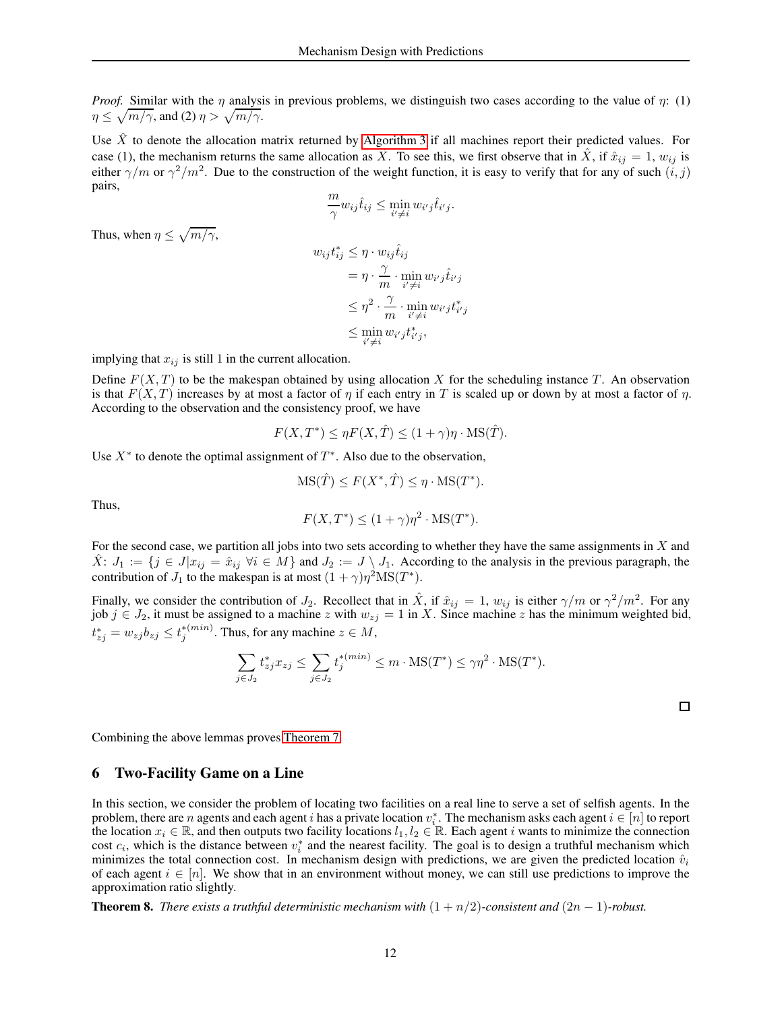*Proof.* Similar with the  $\eta$  analysis in previous problems, we distinguish two cases according to the value of  $\eta$ : (1)  $\eta \leq \sqrt{m/\gamma}$ , and (2)  $\eta > \sqrt{m/\gamma}$ .

Use  $\hat{X}$  to denote the allocation matrix returned by [Algorithm 3](#page-9-0) if all machines report their predicted values. For case (1), the mechanism returns the same allocation as  $\hat{X}$ . To see this, we first observe that in  $\hat{X}$ , if  $\hat{x}_{ij} = 1$ ,  $w_{ij}$  is either  $\gamma/m$  or  $\gamma^2/m^2$ . Due to the construction of the weight function, it is easy to verify that for any of such  $(i, j)$ pairs,

$$
\frac{m}{\gamma}w_{ij}\hat{t}_{ij} \leq \min_{i' \neq i} w_{i'j}\hat{t}_{i'j}.
$$

Thus, when  $\eta \leq \sqrt{m/\gamma}$ ,

$$
w_{ij}t_{ij}^* \leq \eta \cdot w_{ij}\hat{t}_{ij}
$$
  
= 
$$
\eta \cdot \frac{\gamma}{m} \cdot \min_{i' \neq i} w_{i'j}\hat{t}_{i'j}
$$
  

$$
\leq \eta^2 \cdot \frac{\gamma}{m} \cdot \min_{i' \neq i} w_{i'j}t_{i'j}^*
$$
  

$$
\leq \min_{i' \neq i} w_{i'j}t_{i'j}^*,
$$

implying that  $x_{ij}$  is still 1 in the current allocation.

Define  $F(X, T)$  to be the makespan obtained by using allocation X for the scheduling instance T. An observation is that  $F(X, T)$  increases by at most a factor of  $\eta$  if each entry in T is scaled up or down by at most a factor of  $\eta$ . According to the observation and the consistency proof, we have

$$
F(X, T^*) \le \eta F(X, \hat{T}) \le (1 + \gamma)\eta \cdot \text{MS}(\hat{T}).
$$

Use  $X^*$  to denote the optimal assignment of  $T^*$ . Also due to the observation,

$$
\mathrm{MS}(\hat{T}) \le F(X^*, \hat{T}) \le \eta \cdot \mathrm{MS}(T^*).
$$

Thus,

$$
F(X, T^*) \le (1 + \gamma)\eta^2 \cdot \text{MS}(T^*).
$$

For the second case, we partition all jobs into two sets according to whether they have the same assignments in  $X$  and  $\hat{X}$ :  $J_1 := \{j \in J | x_{ij} = \hat{x}_{ij} \; \forall i \in M \}$  and  $J_2 := J \setminus J_1$ . According to the analysis in the previous paragraph, the contribution of  $J_1$  to the makespan is at most  $(1 + \gamma)\eta^2 MS(T^*)$ .

Finally, we consider the contribution of  $J_2$ . Recollect that in  $\hat{X}$ , if  $\hat{x}_{ij} = 1$ ,  $w_{ij}$  is either  $\gamma/m$  or  $\gamma^2/m^2$ . For any job  $j \in J_2$ , it must be assigned to a machine z with  $w_{zj} = 1$  in X. Since machine z has the minimum weighted bid,  $t_{zj}^* = w_{zj}b_{zj} \leq t_j^{*(min)}$ . Thus, for any machine  $z \in M$ ,

$$
\sum_{j \in J_2} t_{zj}^* x_{zj} \le \sum_{j \in J_2} t_j^{*(min)} \le m \cdot \text{MS}(T^*) \le \gamma \eta^2 \cdot \text{MS}(T^*).
$$

 $\Box$ 

Combining the above lemmas proves [Theorem 7.](#page-9-1)

### 6 Two-Facility Game on a Line

In this section, we consider the problem of locating two facilities on a real line to serve a set of selfish agents. In the problem, there are n agents and each agent i has a private location  $v_i^*$ . The mechanism asks each agent  $i \in [n]$  to report the location  $x_i \in \mathbb{R}$ , and then outputs two facility locations  $l_1, l_2 \in \mathbb{R}$ . Each agent i wants to minimize the connection cost  $c_i$ , which is the distance between  $v_i^*$  and the nearest facility. The goal is to design a truthful mechanism which minimizes the total connection cost. In mechanism design with predictions, we are given the predicted location  $\hat{v}_i$ of each agent  $i \in [n]$ . We show that in an environment without money, we can still use predictions to improve the approximation ratio slightly.

<span id="page-11-0"></span>**Theorem 8.** *There exists a truthful deterministic mechanism with*  $(1 + n/2)$ *-consistent and*  $(2n - 1)$ *-robust.*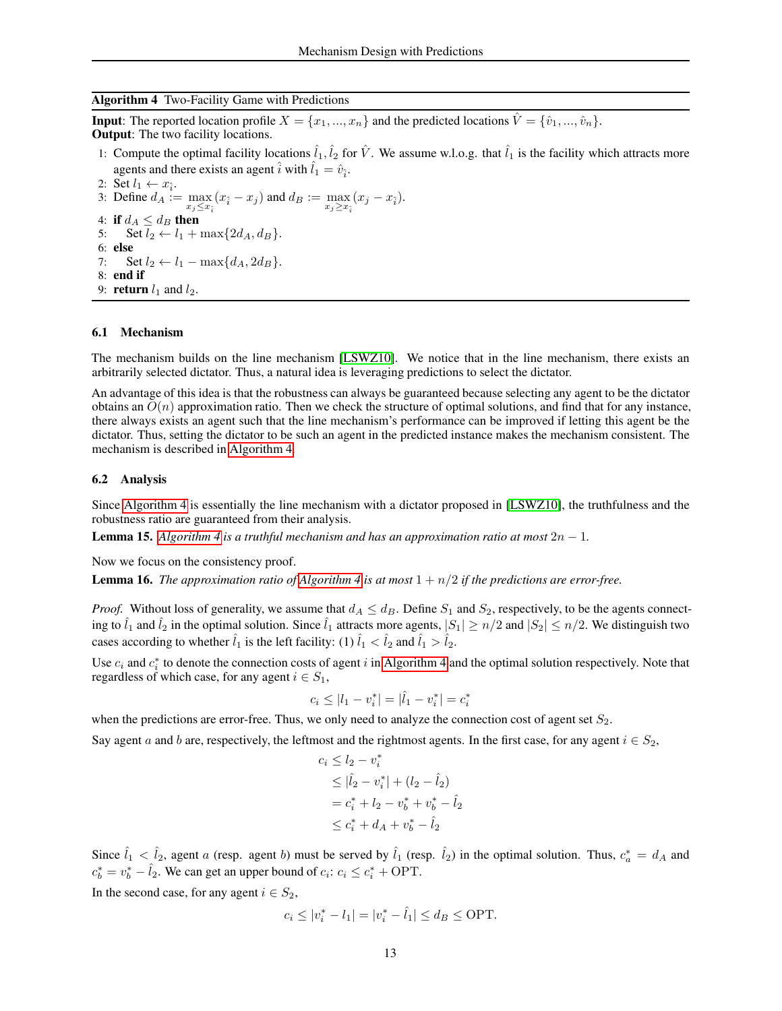### <span id="page-12-0"></span>Algorithm 4 Two-Facility Game with Predictions

**Input**: The reported location profile  $X = \{x_1, ..., x_n\}$  and the predicted locations  $\hat{V} = \{\hat{v}_1, ..., \hat{v}_n\}$ . Output: The two facility locations.

1: Compute the optimal facility locations  $\hat{l}_1, \hat{l}_2$  for  $\hat{V}$ . We assume w.l.o.g. that  $\hat{l}_1$  is the facility which attracts more agents and there exists an agent  $\hat{i}$  with  $\hat{l}_1 = \hat{v}_{\hat{i}}$ .

2: Set  $l_1 \leftarrow x_{\hat{i}}$ . 3: Define  $d_A := \max_{x_j \le x_i} (x_i - x_j)$  and  $d_B := \max_{x_j \ge x_i} (x_j - x_i)$ . 4: if  $d_A \leq d_B$  then<br>5: Set  $l_2 \leftarrow l_1 +$ Set  $l_2 \leftarrow l_1 + \max\{2d_A, d_B\}.$ 6: else 7: Set  $l_2 \leftarrow l_1 - \max\{d_A, 2d_B\}.$ 8: end if 9: **return**  $l_1$  and  $l_2$ .

#### 6.1 Mechanism

The mechanism builds on the line mechanism [LSWZ10]. We notice that in the line mechanism, there exists an arbitrarily selected dictator. Thus, a natural idea is leveraging predictions to select the dictator.

An advantage of this idea is that the robustness can always be guaranteed because selecting any agent to be the dictator obtains an  $O(n)$  approximation ratio. Then we check the structure of optimal solutions, and find that for any instance, there always exists an agent such that the line mechanism's performance can be improved if letting this agent be the dictator. Thus, setting the dictator to be such an agent in the predicted instance makes the mechanism consistent. The mechanism is described in [Algorithm 4.](#page-12-0)

### 6.2 Analysis

Since [Algorithm 4](#page-12-0) is essentially the line mechanism with a dictator proposed in [LSWZ10], the truthfulness and the robustness ratio are guaranteed from their analysis.

**Lemma 15.** *[Algorithm 4](#page-12-0) is a truthful mechanism and has an approximation ratio at most*  $2n - 1$ *.* 

Now we focus on the consistency proof.

**Lemma 16.** *The approximation ratio of [Algorithm 4](#page-12-0) is at most*  $1 + n/2$  *if the predictions are error-free.* 

*Proof.* Without loss of generality, we assume that  $d_A \leq d_B$ . Define  $S_1$  and  $S_2$ , respectively, to be the agents connecting to  $\hat{l}_1$  and  $\hat{l}_2$  in the optimal solution. Since  $\hat{l}_1$  attracts more agents,  $|S_1| \ge n/2$  and  $|S_2| \le n/2$ . We distinguish two cases according to whether  $\hat{l}_1$  is the left facility: (1)  $\hat{l}_1 < \hat{l}_2$  and  $\hat{l}_1 > \hat{l}_2$ .

Use  $c_i$  and  $c_i^*$  to denote the connection costs of agent i in [Algorithm 4](#page-12-0) and the optimal solution respectively. Note that regardless of which case, for any agent  $i \in S_1$ ,

$$
c_i \le |l_1 - v_i^*| = |\hat{l}_1 - v_i^*| = c_i^*
$$

when the predictions are error-free. Thus, we only need to analyze the connection cost of agent set  $S_2$ .

Say agent a and b are, respectively, the leftmost and the rightmost agents. In the first case, for any agent  $i \in S_2$ ,

$$
c_i \le l_2 - v_i^*
$$
  
\n
$$
\le |\hat{l}_2 - v_i^*| + (l_2 - \hat{l}_2)
$$
  
\n
$$
= c_i^* + l_2 - v_b^* + v_b^* - \hat{l}_2
$$
  
\n
$$
\le c_i^* + d_A + v_b^* - \hat{l}_2
$$

Since  $\hat{l}_1 < \hat{l}_2$ , agent a (resp. agent b) must be served by  $\hat{l}_1$  (resp.  $\hat{l}_2$ ) in the optimal solution. Thus,  $c_a^* = d_A$  and  $c_b^* = v_b^* - \hat{l}_2$ . We can get an upper bound of  $c_i$ :  $c_i \le c_i^* + \text{OPT}$ .

In the second case, for any agent  $i \in S_2$ ,

$$
c_i \le |v_i^* - l_1| = |v_i^* - \hat{l}_1| \le d_B \le
$$
 OPT.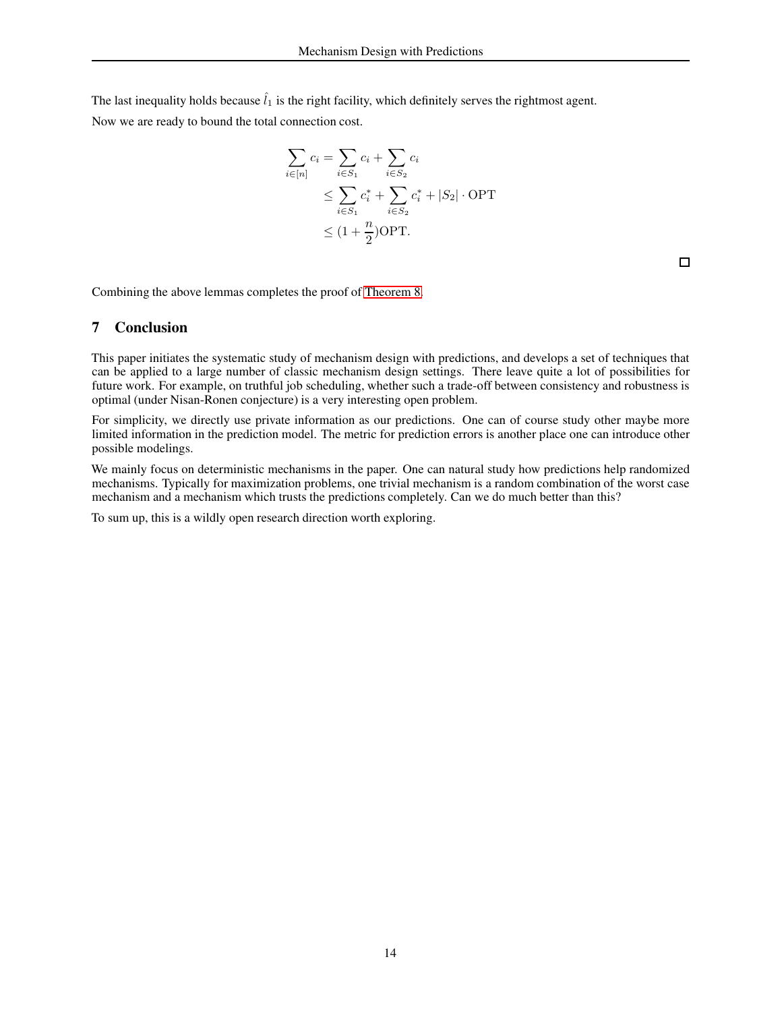The last inequality holds because  $\hat{l}_1$  is the right facility, which definitely serves the rightmost agent.

Now we are ready to bound the total connection cost.

$$
\sum_{i \in [n]} c_i = \sum_{i \in S_1} c_i + \sum_{i \in S_2} c_i
$$
\n
$$
\leq \sum_{i \in S_1} c_i^* + \sum_{i \in S_2} c_i^* + |S_2| \cdot \text{OPT}
$$
\n
$$
\leq (1 + \frac{n}{2}) \text{OPT}.
$$

 $\Box$ 

Combining the above lemmas completes the proof of [Theorem 8.](#page-11-0)

# 7 Conclusion

This paper initiates the systematic study of mechanism design with predictions, and develops a set of techniques that can be applied to a large number of classic mechanism design settings. There leave quite a lot of possibilities for future work. For example, on truthful job scheduling, whether such a trade-off between consistency and robustness is optimal (under Nisan-Ronen conjecture) is a very interesting open problem.

For simplicity, we directly use private information as our predictions. One can of course study other maybe more limited information in the prediction model. The metric for prediction errors is another place one can introduce other possible modelings.

We mainly focus on deterministic mechanisms in the paper. One can natural study how predictions help randomized mechanisms. Typically for maximization problems, one trivial mechanism is a random combination of the worst case mechanism and a mechanism which trusts the predictions completely. Can we do much better than this?

To sum up, this is a wildly open research direction worth exploring.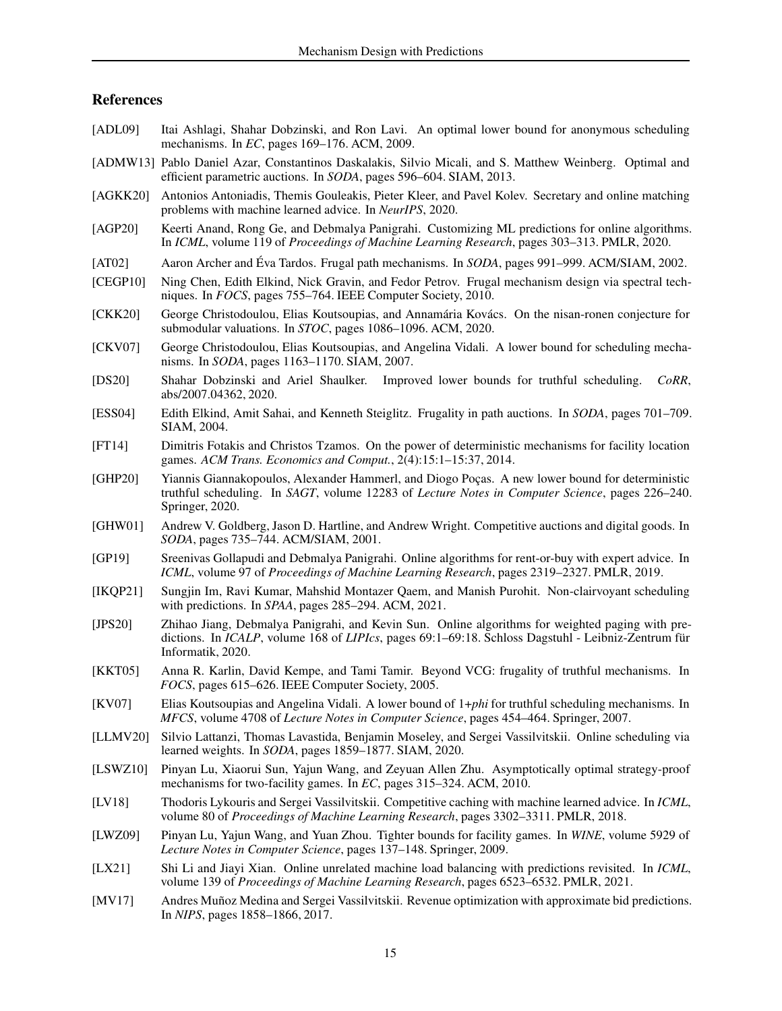# References

- [ADL09] Itai Ashlagi, Shahar Dobzinski, and Ron Lavi. An optimal lower bound for anonymous scheduling mechanisms. In *EC*, pages 169–176. ACM, 2009.
- [ADMW13] Pablo Daniel Azar, Constantinos Daskalakis, Silvio Micali, and S. Matthew Weinberg. Optimal and efficient parametric auctions. In *SODA*, pages 596–604. SIAM, 2013.
- [AGKK20] Antonios Antoniadis, Themis Gouleakis, Pieter Kleer, and Pavel Kolev. Secretary and online matching problems with machine learned advice. In *NeurIPS*, 2020.
- [AGP20] Keerti Anand, Rong Ge, and Debmalya Panigrahi. Customizing ML predictions for online algorithms. In *ICML*, volume 119 of *Proceedings of Machine Learning Research*, pages 303–313. PMLR, 2020.
- [AT02] Aaron Archer and Éva Tardos. Frugal path mechanisms. In *SODA*, pages 991–999. ACM/SIAM, 2002.
- [CEGP10] Ning Chen, Edith Elkind, Nick Gravin, and Fedor Petrov. Frugal mechanism design via spectral techniques. In *FOCS*, pages 755–764. IEEE Computer Society, 2010.
- [CKK20] George Christodoulou, Elias Koutsoupias, and Annamária Kovács. On the nisan-ronen conjecture for submodular valuations. In *STOC*, pages 1086–1096. ACM, 2020.
- [CKV07] George Christodoulou, Elias Koutsoupias, and Angelina Vidali. A lower bound for scheduling mechanisms. In *SODA*, pages 1163–1170. SIAM, 2007.
- [DS20] Shahar Dobzinski and Ariel Shaulker. Improved lower bounds for truthful scheduling. *CoRR*, abs/2007.04362, 2020.
- [ESS04] Edith Elkind, Amit Sahai, and Kenneth Steiglitz. Frugality in path auctions. In *SODA*, pages 701–709. SIAM, 2004.
- [FT14] Dimitris Fotakis and Christos Tzamos. On the power of deterministic mechanisms for facility location games. *ACM Trans. Economics and Comput.*, 2(4):15:1–15:37, 2014.
- [GHP20] Yiannis Giannakopoulos, Alexander Hammerl, and Diogo Poças. A new lower bound for deterministic truthful scheduling. In *SAGT*, volume 12283 of *Lecture Notes in Computer Science*, pages 226–240. Springer, 2020.
- [GHW01] Andrew V. Goldberg, Jason D. Hartline, and Andrew Wright. Competitive auctions and digital goods. In *SODA*, pages 735–744. ACM/SIAM, 2001.
- [GP19] Sreenivas Gollapudi and Debmalya Panigrahi. Online algorithms for rent-or-buy with expert advice. In *ICML*, volume 97 of *Proceedings of Machine Learning Research*, pages 2319–2327. PMLR, 2019.
- [IKQP21] Sungjin Im, Ravi Kumar, Mahshid Montazer Qaem, and Manish Purohit. Non-clairvoyant scheduling with predictions. In *SPAA*, pages 285–294. ACM, 2021.
- [JPS20] Zhihao Jiang, Debmalya Panigrahi, and Kevin Sun. Online algorithms for weighted paging with predictions. In *ICALP*, volume 168 of *LIPIcs*, pages 69:1–69:18. Schloss Dagstuhl - Leibniz-Zentrum für Informatik, 2020.
- [KKT05] Anna R. Karlin, David Kempe, and Tami Tamir. Beyond VCG: frugality of truthful mechanisms. In *FOCS*, pages 615–626. IEEE Computer Society, 2005.
- [KV07] Elias Koutsoupias and Angelina Vidali. A lower bound of 1+*phi* for truthful scheduling mechanisms. In *MFCS*, volume 4708 of *Lecture Notes in Computer Science*, pages 454–464. Springer, 2007.
- [LLMV20] Silvio Lattanzi, Thomas Lavastida, Benjamin Moseley, and Sergei Vassilvitskii. Online scheduling via learned weights. In *SODA*, pages 1859–1877. SIAM, 2020.
- [LSWZ10] Pinyan Lu, Xiaorui Sun, Yajun Wang, and Zeyuan Allen Zhu. Asymptotically optimal strategy-proof mechanisms for two-facility games. In *EC*, pages 315–324. ACM, 2010.
- [LV18] Thodoris Lykouris and Sergei Vassilvitskii. Competitive caching with machine learned advice. In *ICML*, volume 80 of *Proceedings of Machine Learning Research*, pages 3302–3311. PMLR, 2018.
- [LWZ09] Pinyan Lu, Yajun Wang, and Yuan Zhou. Tighter bounds for facility games. In *WINE*, volume 5929 of *Lecture Notes in Computer Science*, pages 137–148. Springer, 2009.
- [LX21] Shi Li and Jiayi Xian. Online unrelated machine load balancing with predictions revisited. In *ICML*, volume 139 of *Proceedings of Machine Learning Research*, pages 6523–6532. PMLR, 2021.
- [MV17] Andres Muñoz Medina and Sergei Vassilvitskii. Revenue optimization with approximate bid predictions. In *NIPS*, pages 1858–1866, 2017.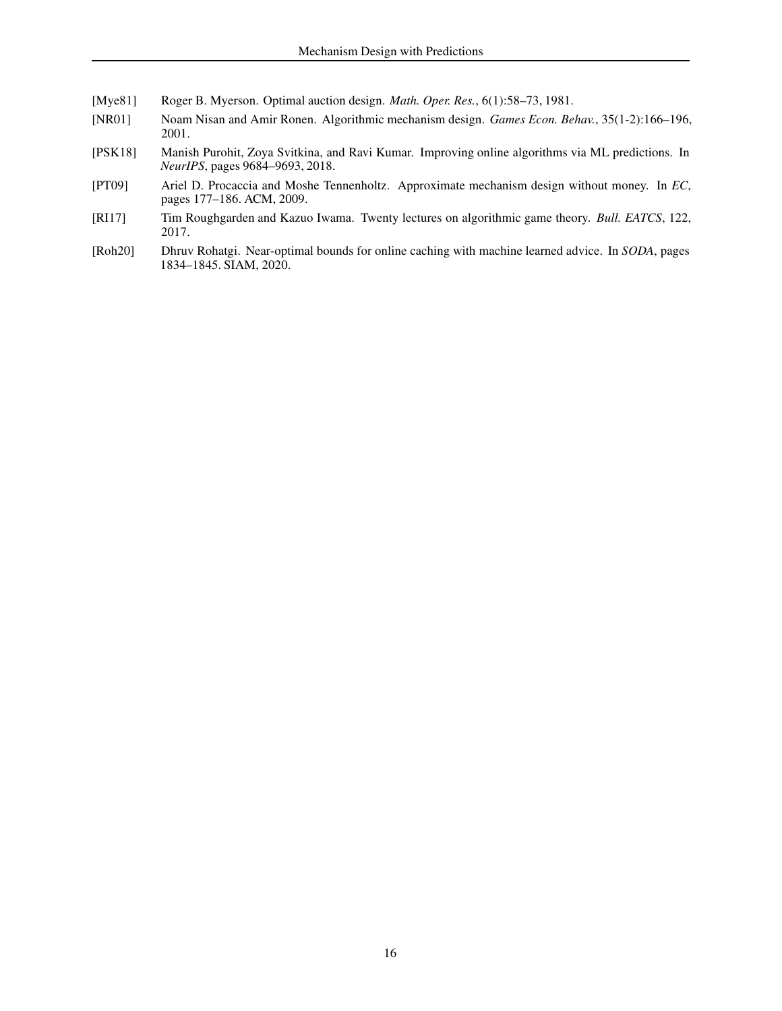- [Mye81] Roger B. Myerson. Optimal auction design. *Math. Oper. Res.*, 6(1):58–73, 1981.
- [NR01] Noam Nisan and Amir Ronen. Algorithmic mechanism design. *Games Econ. Behav.*, 35(1-2):166–196, 2001.
- [PSK18] Manish Purohit, Zoya Svitkina, and Ravi Kumar. Improving online algorithms via ML predictions. In *NeurIPS*, pages 9684–9693, 2018.
- [PT09] Ariel D. Procaccia and Moshe Tennenholtz. Approximate mechanism design without money. In *EC*, pages 177–186. ACM, 2009.
- [RI17] Tim Roughgarden and Kazuo Iwama. Twenty lectures on algorithmic game theory. *Bull. EATCS*, 122, 2017.
- [Roh20] Dhruv Rohatgi. Near-optimal bounds for online caching with machine learned advice. In *SODA*, pages 1834–1845. SIAM, 2020.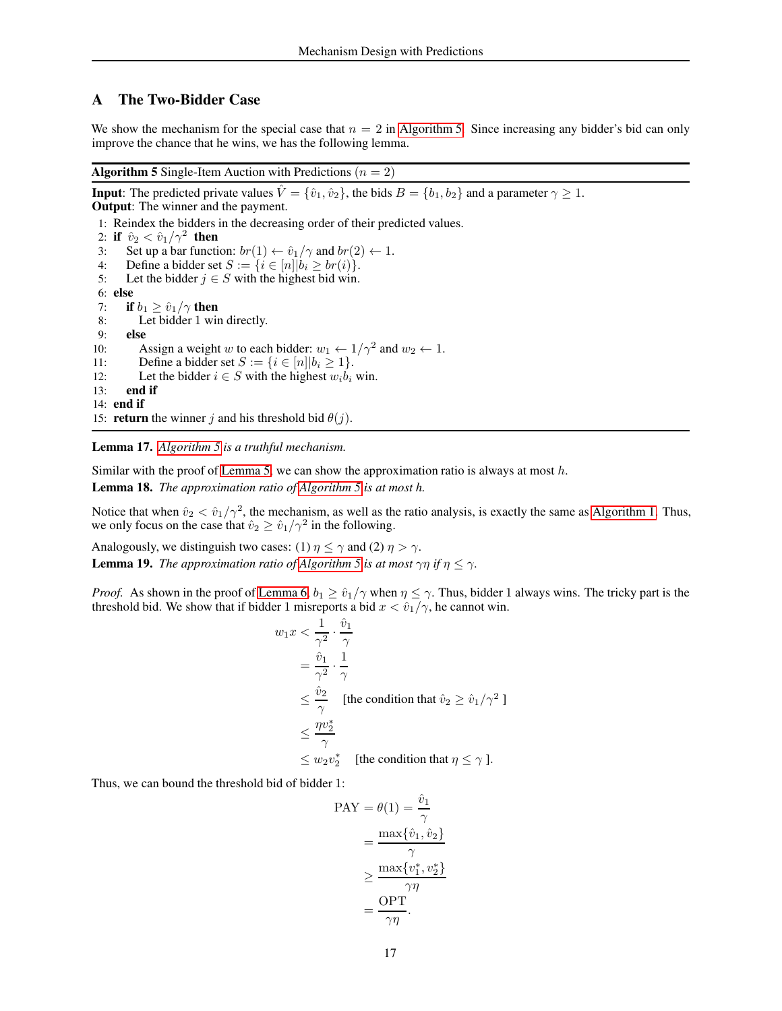# <span id="page-16-0"></span>A The Two-Bidder Case

We show the mechanism for the special case that  $n = 2$  in [Algorithm 5.](#page-16-1) Since increasing any bidder's bid can only improve the chance that he wins, we has the following lemma.

<span id="page-16-1"></span>**Algorithm 5** Single-Item Auction with Predictions ( $n = 2$ )

**Input**: The predicted private values  $\hat{V} = \{\hat{v}_1, \hat{v}_2\}$ , the bids  $B = \{b_1, b_2\}$  and a parameter  $\gamma \ge 1$ . Output: The winner and the payment. 1: Reindex the bidders in the decreasing order of their predicted values. 2: if  $\hat{v}_2 < \hat{v}_1/\gamma^2$  then 3: Set up a bar function:  $br(1) \leftarrow \hat{v}_1/\gamma$  and  $br(2) \leftarrow 1$ .<br>4: Define a bidder set  $S := \{i \in [n] | b_i > br(i) \}$ . 4: Define a bidder set  $S := \{i \in [n]|b_i \ge br(i)\}$ .<br>5: Let the bidder  $j \in S$  with the highest bid win. Let the bidder  $j \in S$  with the highest bid win. 6: else 7: **if**  $b_1 \ge \hat{v}_1/\gamma$  **then**<br>8: Let bidder 1 win Let bidder 1 win directly. 9: else 10: Assign a weight w to each bidder:  $w_1 \leftarrow 1/\gamma^2$  and  $w_2 \leftarrow 1$ . 11: Define a bidder set  $S := \{i \in [n]|b_i \ge 1\}$ .<br>12: Let the bidder  $i \in S$  with the highest  $w_i b_i$ . 12: Let the bidder  $i \in S$  with the highest  $w_i \vec{b}_i$  win.<br>13: **end if** end if 14: end if 15: **return** the winner j and his threshold bid  $\theta(j)$ .

<span id="page-16-2"></span>Lemma 17. *[Algorithm 5](#page-16-1) is a truthful mechanism.*

<span id="page-16-3"></span>Similar with the proof of [Lemma 5,](#page-3-2) we can show the approximation ratio is always at most  $h$ .

Lemma 18. *The approximation ratio of [Algorithm 5](#page-16-1) is at most h.*

Notice that when  $\hat{v}_2 < \hat{v}_1/\gamma^2$ , the mechanism, as well as the ratio analysis, is exactly the same as [Algorithm 1.](#page-3-0) Thus, we only focus on the case that  $\hat{v}_2 \ge \hat{v}_1/\gamma^2$  in the following.

<span id="page-16-4"></span>Analogously, we distinguish two cases: (1)  $\eta \le \gamma$  and (2)  $\eta > \gamma$ . **Lemma 19.** *The approximation ratio of [Algorithm 5](#page-16-1) is at most*  $\gamma \eta$  *if*  $\eta \leq \gamma$ .

*Proof.* As shown in the proof of [Lemma 6,](#page-3-1)  $b_1 \geq \hat{v}_1/\gamma$  when  $\eta \leq \gamma$ . Thus, bidder 1 always wins. The tricky part is the threshold bid. We show that if bidder 1 misreports a bid  $x < \hat{v}_1/\gamma$ , he cannot win.

$$
w_1 x < \frac{1}{\gamma^2} \cdot \frac{\hat{v}_1}{\gamma}
$$
\n
$$
= \frac{\hat{v}_1}{\gamma^2} \cdot \frac{1}{\gamma}
$$
\n
$$
\leq \frac{\hat{v}_2}{\gamma} \quad \text{[the condition that } \hat{v}_2 \geq \hat{v}_1/\gamma^2 \text{]}
$$
\n
$$
\leq \frac{\eta v_2^*}{\gamma}
$$
\n
$$
\leq w_2 v_2^* \quad \text{[the condition that } \eta \leq \gamma \text{]}.
$$

Thus, we can bound the threshold bid of bidder 1:

$$
PAY = \theta(1) = \frac{\hat{v}_1}{\gamma}
$$

$$
= \frac{\max{\{\hat{v}_1, \hat{v}_2\}}}{\gamma}
$$

$$
\geq \frac{\max{\{v_1^*, v_2^*\}}}{\gamma \eta}
$$

$$
= \frac{\text{OPT}}{\gamma \eta}.
$$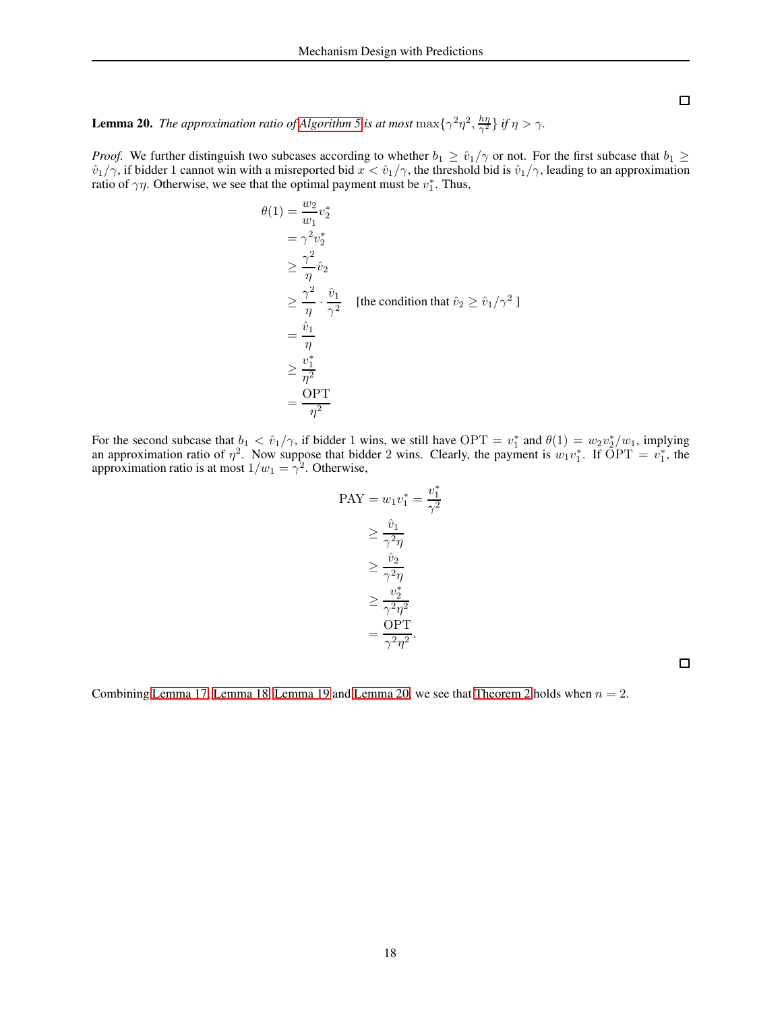$\Box$ 

<span id="page-17-0"></span>**Lemma 20.** *The approximation ratio of [Algorithm 5](#page-16-1) is at most*  $\max\{\gamma^2\eta^2, \frac{hn}{\gamma^2}\}$  *if*  $\eta > \gamma$ *.* 

*Proof.* We further distinguish two subcases according to whether  $b_1 \geq \hat{v}_1/\gamma$  or not. For the first subcase that  $b_1 \geq$  $\hat{v}_1/\gamma$ , if bidder 1 cannot win with a misreported bid  $x < \hat{v}_1/\gamma$ , the threshold bid is  $\hat{v}_1/\gamma$ , leading to an approximation ratio of  $\gamma \eta$ . Otherwise, we see that the optimal payment must be  $v_1^*$ . Thus,

$$
\theta(1) = \frac{w_2}{w_1} v_2^*
$$
  
\n
$$
= \gamma^2 v_2^*
$$
  
\n
$$
\geq \frac{\gamma^2}{\eta} \hat{v}_2
$$
  
\n
$$
\geq \frac{\gamma^2}{\eta} \cdot \frac{\hat{v}_1}{\gamma^2}
$$
 [the condition that  $\hat{v}_2 \geq \hat{v}_1/\gamma^2$ ]  
\n
$$
= \frac{\hat{v}_1}{\eta}
$$
  
\n
$$
\geq \frac{v_1^*}{\eta^2}
$$
  
\n
$$
= \frac{\text{OPT}}{\eta^2}
$$

For the second subcase that  $b_1 < \hat{v}_1/\gamma$ , if bidder 1 wins, we still have OPT =  $v_1^*$  and  $\theta(1) = w_2 v_2^*/w_1$ , implying an approximation ratio of  $\eta^2$ . Now suppose that bidder 2 wins. Clearly, the payment is  $w_1v_1^*$ . If  $\overline{OPT} = v_1^*$ , the approximation ratio is at most  $1/w_1 = \gamma^2$ . Otherwise,

$$
PAY = w_1 v_1^* = \frac{v_1^*}{\gamma^2}
$$

$$
\geq \frac{\hat{v}_1}{\gamma^2 \eta}
$$

$$
\geq \frac{\hat{v}_2}{\gamma^2 \eta}
$$

$$
\geq \frac{v_2^*}{\gamma^2 \eta^2}
$$

$$
= \frac{OPT}{\gamma^2 \eta^2}.
$$

 $\Box$ 

Combining [Lemma 17,](#page-16-2) [Lemma 18,](#page-16-3) [Lemma 19](#page-16-4) and [Lemma 20,](#page-17-0) we see that [Theorem 2](#page-2-0) holds when  $n = 2$ .